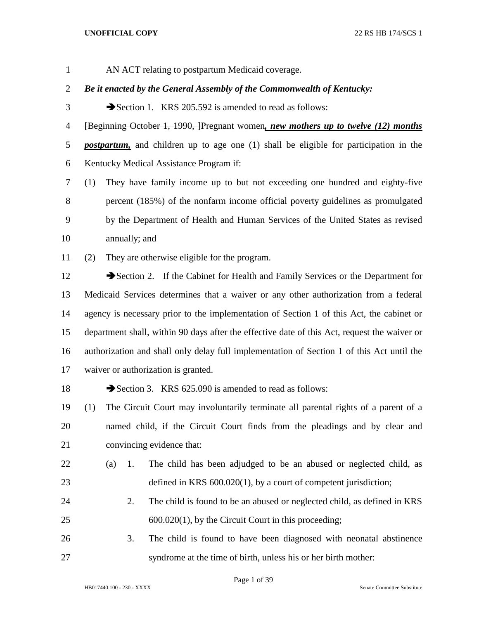AN ACT relating to postpartum Medicaid coverage.

*Be it enacted by the General Assembly of the Commonwealth of Kentucky:*

3 Section 1. KRS 205.592 is amended to read as follows:

[Beginning October 1, 1990, ]Pregnant women*, new mothers up to twelve (12) months* 

 *postpartum,* and children up to age one (1) shall be eligible for participation in the Kentucky Medical Assistance Program if:

 (1) They have family income up to but not exceeding one hundred and eighty-five percent (185%) of the nonfarm income official poverty guidelines as promulgated by the Department of Health and Human Services of the United States as revised annually; and

(2) They are otherwise eligible for the program.

12 Section 2. If the Cabinet for Health and Family Services or the Department for Medicaid Services determines that a waiver or any other authorization from a federal agency is necessary prior to the implementation of Section 1 of this Act, the cabinet or department shall, within 90 days after the effective date of this Act, request the waiver or authorization and shall only delay full implementation of Section 1 of this Act until the waiver or authorization is granted.

18 Section 3. KRS 625.090 is amended to read as follows:

 (1) The Circuit Court may involuntarily terminate all parental rights of a parent of a named child, if the Circuit Court finds from the pleadings and by clear and convincing evidence that:

- (a) 1. The child has been adjudged to be an abused or neglected child, as defined in KRS 600.020(1), by a court of competent jurisdiction;
- 2. The child is found to be an abused or neglected child, as defined in KRS 600.020(1), by the Circuit Court in this proceeding;
- 3. The child is found to have been diagnosed with neonatal abstinence syndrome at the time of birth, unless his or her birth mother: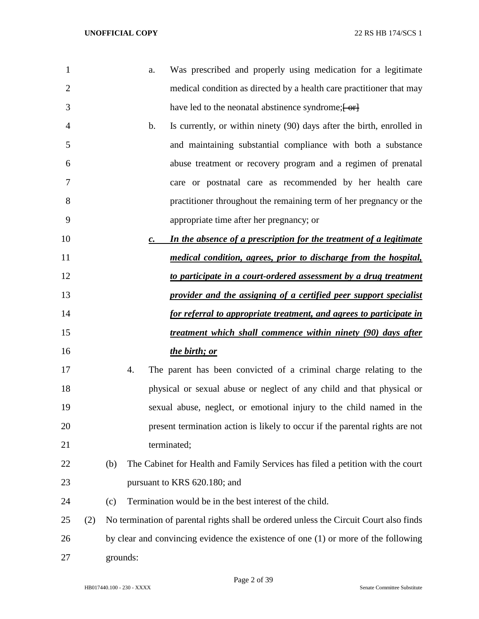| $\mathbf{1}$   |     | Was prescribed and properly using medication for a legitimate<br>a.                    |
|----------------|-----|----------------------------------------------------------------------------------------|
| $\overline{2}$ |     | medical condition as directed by a health care practitioner that may                   |
| 3              |     | have led to the neonatal abstinence syndrome; [ or]                                    |
| 4              |     | Is currently, or within ninety (90) days after the birth, enrolled in<br>$\mathbf b$ . |
| 5              |     | and maintaining substantial compliance with both a substance                           |
| 6              |     | abuse treatment or recovery program and a regimen of prenatal                          |
| 7              |     | care or postnatal care as recommended by her health care                               |
| 8              |     | practitioner throughout the remaining term of her pregnancy or the                     |
| 9              |     | appropriate time after her pregnancy; or                                               |
| 10             |     | In the absence of a prescription for the treatment of a legitimate<br>$\mathcal{C}$ .  |
| 11             |     | medical condition, agrees, prior to discharge from the hospital,                       |
| 12             |     | to participate in a court-ordered assessment by a drug treatment                       |
| 13             |     | provider and the assigning of a certified peer support specialist                      |
| 14             |     | for referral to appropriate treatment, and agrees to participate in                    |
| 15             |     | treatment which shall commence within ninety (90) days after                           |
| 16             |     | the birth; or                                                                          |
| 17             |     | The parent has been convicted of a criminal charge relating to the<br>4.               |
| 18             |     | physical or sexual abuse or neglect of any child and that physical or                  |
| 19             |     | sexual abuse, neglect, or emotional injury to the child named in the                   |
| 20             |     | present termination action is likely to occur if the parental rights are not           |
| 21             |     | terminated;                                                                            |
| 22             |     | The Cabinet for Health and Family Services has filed a petition with the court<br>(b)  |
| 23             |     | pursuant to KRS 620.180; and                                                           |
| 24             |     | Termination would be in the best interest of the child.<br>(c)                         |
| 25             | (2) | No termination of parental rights shall be ordered unless the Circuit Court also finds |
| 26             |     | by clear and convincing evidence the existence of one $(1)$ or more of the following   |
| 27             |     | grounds:                                                                               |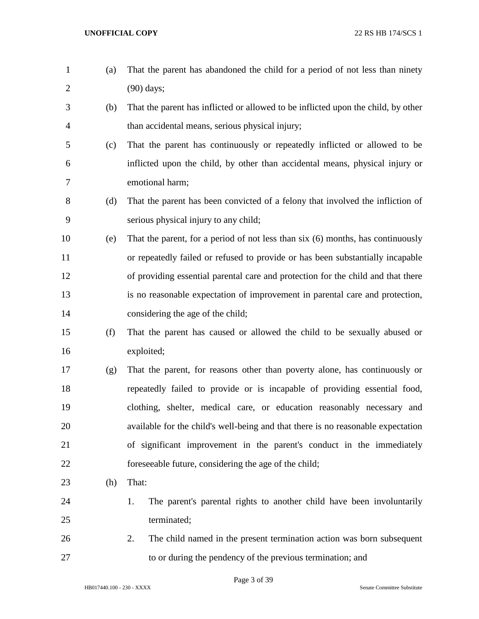(a) That the parent has abandoned the child for a period of not less than ninety (90) days; (b) That the parent has inflicted or allowed to be inflicted upon the child, by other than accidental means, serious physical injury; (c) That the parent has continuously or repeatedly inflicted or allowed to be inflicted upon the child, by other than accidental means, physical injury or emotional harm; (d) That the parent has been convicted of a felony that involved the infliction of serious physical injury to any child; (e) That the parent, for a period of not less than six (6) months, has continuously or repeatedly failed or refused to provide or has been substantially incapable of providing essential parental care and protection for the child and that there is no reasonable expectation of improvement in parental care and protection, 14 considering the age of the child; (f) That the parent has caused or allowed the child to be sexually abused or exploited; (g) That the parent, for reasons other than poverty alone, has continuously or repeatedly failed to provide or is incapable of providing essential food, clothing, shelter, medical care, or education reasonably necessary and available for the child's well-being and that there is no reasonable expectation of significant improvement in the parent's conduct in the immediately foreseeable future, considering the age of the child; (h) That: 24 1. The parent's parental rights to another child have been involuntarily terminated; 2. The child named in the present termination action was born subsequent 27 to or during the pendency of the previous termination; and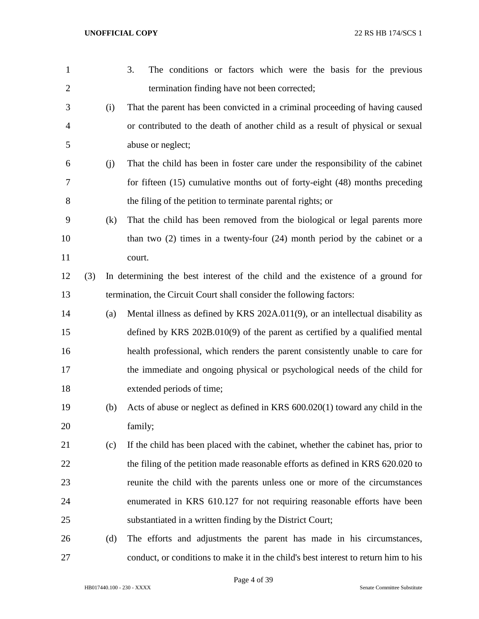| 1              |     |     | 3.<br>The conditions or factors which were the basis for the previous               |
|----------------|-----|-----|-------------------------------------------------------------------------------------|
| $\overline{2}$ |     |     | termination finding have not been corrected;                                        |
| 3              |     | (i) | That the parent has been convicted in a criminal proceeding of having caused        |
| $\overline{4}$ |     |     | or contributed to the death of another child as a result of physical or sexual      |
| 5              |     |     | abuse or neglect;                                                                   |
| 6              |     | (j) | That the child has been in foster care under the responsibility of the cabinet      |
| 7              |     |     | for fifteen (15) cumulative months out of forty-eight (48) months preceding         |
| 8              |     |     | the filing of the petition to terminate parental rights; or                         |
| 9              |     | (k) | That the child has been removed from the biological or legal parents more           |
| 10             |     |     | than two $(2)$ times in a twenty-four $(24)$ month period by the cabinet or a       |
| 11             |     |     | court.                                                                              |
| 12             | (3) |     | In determining the best interest of the child and the existence of a ground for     |
| 13             |     |     | termination, the Circuit Court shall consider the following factors:                |
| 14             |     | (a) | Mental illness as defined by KRS 202A.011(9), or an intellectual disability as      |
| 15             |     |     | defined by KRS $202B.010(9)$ of the parent as certified by a qualified mental       |
| 16             |     |     | health professional, which renders the parent consistently unable to care for       |
| 17             |     |     | the immediate and ongoing physical or psychological needs of the child for          |
| 18             |     |     | extended periods of time;                                                           |
| 19             |     | (b) | Acts of abuse or neglect as defined in KRS 600.020(1) toward any child in the       |
| 20             |     |     | family;                                                                             |
| 21             |     | (c) | If the child has been placed with the cabinet, whether the cabinet has, prior to    |
| 22             |     |     | the filing of the petition made reasonable efforts as defined in KRS 620.020 to     |
| 23             |     |     | reunite the child with the parents unless one or more of the circumstances          |
| 24             |     |     | enumerated in KRS 610.127 for not requiring reasonable efforts have been            |
| 25             |     |     | substantiated in a written finding by the District Court;                           |
| 26             |     | (d) | The efforts and adjustments the parent has made in his circumstances,               |
| 27             |     |     | conduct, or conditions to make it in the child's best interest to return him to his |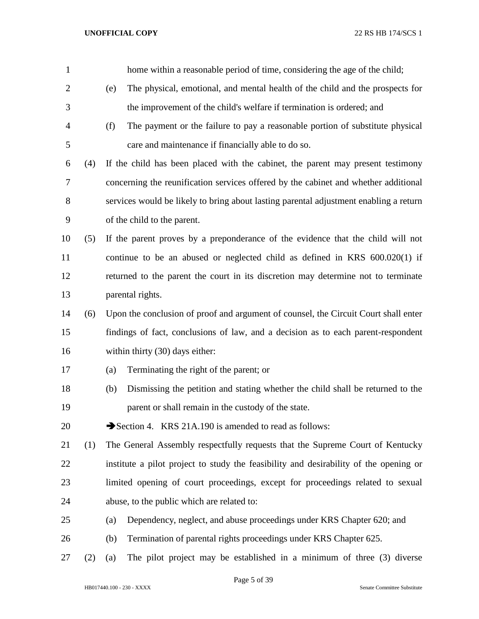| $\mathbf{1}$   |     |     | home within a reasonable period of time, considering the age of the child;            |
|----------------|-----|-----|---------------------------------------------------------------------------------------|
| $\overline{2}$ |     | (e) | The physical, emotional, and mental health of the child and the prospects for         |
| 3              |     |     | the improvement of the child's welfare if termination is ordered; and                 |
| 4              |     | (f) | The payment or the failure to pay a reasonable portion of substitute physical         |
| 5              |     |     | care and maintenance if financially able to do so.                                    |
| 6              | (4) |     | If the child has been placed with the cabinet, the parent may present testimony       |
| 7              |     |     | concerning the reunification services offered by the cabinet and whether additional   |
| 8              |     |     | services would be likely to bring about lasting parental adjustment enabling a return |
| 9              |     |     | of the child to the parent.                                                           |
| 10             | (5) |     | If the parent proves by a preponderance of the evidence that the child will not       |
| 11             |     |     | continue to be an abused or neglected child as defined in KRS 600.020(1) if           |
| 12             |     |     | returned to the parent the court in its discretion may determine not to terminate     |
| 13             |     |     | parental rights.                                                                      |
| 14             | (6) |     | Upon the conclusion of proof and argument of counsel, the Circuit Court shall enter   |
| 15             |     |     | findings of fact, conclusions of law, and a decision as to each parent-respondent     |
| 16             |     |     | within thirty (30) days either:                                                       |
| 17             |     | (a) | Terminating the right of the parent; or                                               |
| 18             |     | (b) | Dismissing the petition and stating whether the child shall be returned to the        |
| 19             |     |     | parent or shall remain in the custody of the state.                                   |
| 20             |     |     | Section 4. KRS 21A.190 is amended to read as follows:                                 |
| 21             | (1) |     | The General Assembly respectfully requests that the Supreme Court of Kentucky         |
| 22             |     |     | institute a pilot project to study the feasibility and desirability of the opening or |
| 23             |     |     | limited opening of court proceedings, except for proceedings related to sexual        |
| 24             |     |     | abuse, to the public which are related to:                                            |
| 25             |     | (a) | Dependency, neglect, and abuse proceedings under KRS Chapter 620; and                 |
| 26             |     | (b) | Termination of parental rights proceedings under KRS Chapter 625.                     |
| 27             | (2) | (a) | The pilot project may be established in a minimum of three (3) diverse                |

Page 5 of 39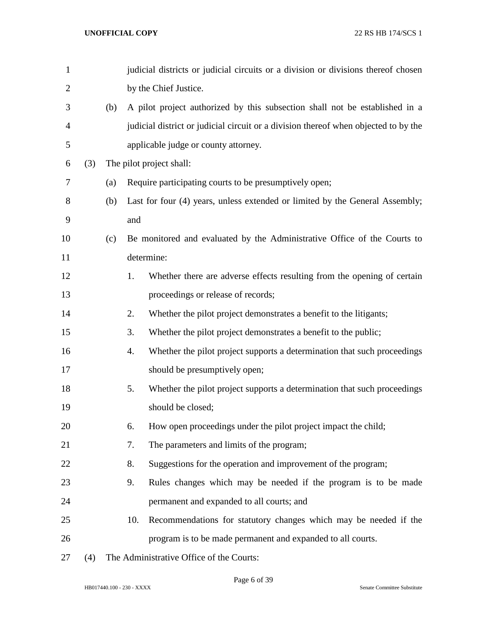| $\mathbf{1}$   |     |     |     | judicial districts or judicial circuits or a division or divisions thereof chosen   |
|----------------|-----|-----|-----|-------------------------------------------------------------------------------------|
| $\overline{2}$ |     |     |     | by the Chief Justice.                                                               |
| 3              |     | (b) |     | A pilot project authorized by this subsection shall not be established in a         |
| 4              |     |     |     | judicial district or judicial circuit or a division thereof when objected to by the |
| 5              |     |     |     | applicable judge or county attorney.                                                |
| 6              | (3) |     |     | The pilot project shall:                                                            |
| 7              |     | (a) |     | Require participating courts to be presumptively open;                              |
| 8              |     | (b) |     | Last for four (4) years, unless extended or limited by the General Assembly;        |
| 9              |     |     | and |                                                                                     |
| 10             |     | (c) |     | Be monitored and evaluated by the Administrative Office of the Courts to            |
| 11             |     |     |     | determine:                                                                          |
| 12             |     |     | 1.  | Whether there are adverse effects resulting from the opening of certain             |
| 13             |     |     |     | proceedings or release of records;                                                  |
| 14             |     |     | 2.  | Whether the pilot project demonstrates a benefit to the litigants;                  |
| 15             |     |     | 3.  | Whether the pilot project demonstrates a benefit to the public;                     |
| 16             |     |     | 4.  | Whether the pilot project supports a determination that such proceedings            |
| 17             |     |     |     | should be presumptively open;                                                       |
| 18             |     |     | 5.  | Whether the pilot project supports a determination that such proceedings            |
| 19             |     |     |     | should be closed;                                                                   |
| 20             |     |     | 6.  | How open proceedings under the pilot project impact the child;                      |
| 21             |     |     | 7.  | The parameters and limits of the program;                                           |
| 22             |     |     | 8.  | Suggestions for the operation and improvement of the program;                       |
| 23             |     |     | 9.  | Rules changes which may be needed if the program is to be made                      |
| 24             |     |     |     | permanent and expanded to all courts; and                                           |
| 25             |     |     | 10. | Recommendations for statutory changes which may be needed if the                    |
| 26             |     |     |     | program is to be made permanent and expanded to all courts.                         |
| 27             | (4) |     |     | The Administrative Office of the Courts:                                            |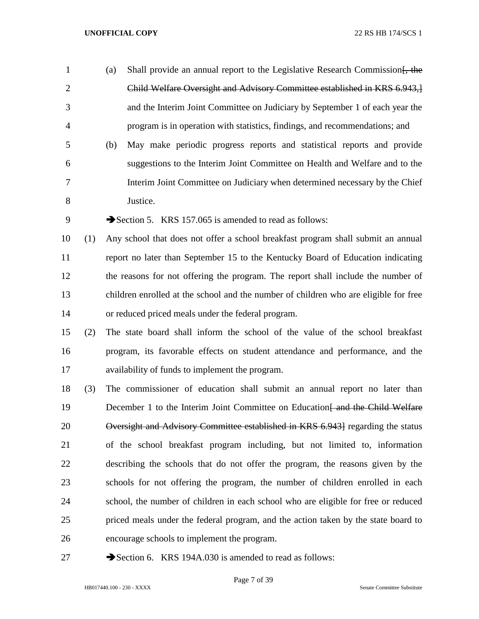- 1 (a) Shall provide an annual report to the Legislative Research Commission. Child Welfare Oversight and Advisory Committee established in KRS 6.943,] and the Interim Joint Committee on Judiciary by September 1 of each year the program is in operation with statistics, findings, and recommendations; and
- (b) May make periodic progress reports and statistical reports and provide suggestions to the Interim Joint Committee on Health and Welfare and to the Interim Joint Committee on Judiciary when determined necessary by the Chief Justice.
- 9 Section 5. KRS 157.065 is amended to read as follows:
- (1) Any school that does not offer a school breakfast program shall submit an annual report no later than September 15 to the Kentucky Board of Education indicating the reasons for not offering the program. The report shall include the number of children enrolled at the school and the number of children who are eligible for free or reduced priced meals under the federal program.
- (2) The state board shall inform the school of the value of the school breakfast program, its favorable effects on student attendance and performance, and the availability of funds to implement the program.
- (3) The commissioner of education shall submit an annual report no later than 19 December 1 to the Interim Joint Committee on Education and the Child Welfare Oversight and Advisory Committee established in KRS 6.943] regarding the status of the school breakfast program including, but not limited to, information describing the schools that do not offer the program, the reasons given by the schools for not offering the program, the number of children enrolled in each school, the number of children in each school who are eligible for free or reduced priced meals under the federal program, and the action taken by the state board to encourage schools to implement the program.
- 27 Section 6. KRS 194A.030 is amended to read as follows: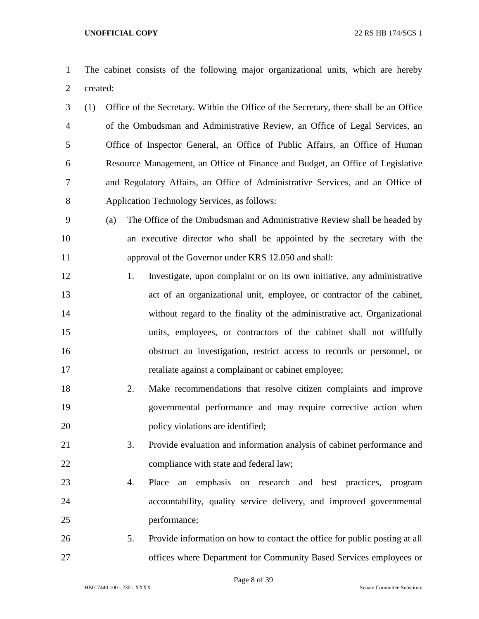The cabinet consists of the following major organizational units, which are hereby created:

 (1) Office of the Secretary. Within the Office of the Secretary, there shall be an Office of the Ombudsman and Administrative Review, an Office of Legal Services, an Office of Inspector General, an Office of Public Affairs, an Office of Human Resource Management, an Office of Finance and Budget, an Office of Legislative and Regulatory Affairs, an Office of Administrative Services, and an Office of Application Technology Services, as follows:

 (a) The Office of the Ombudsman and Administrative Review shall be headed by an executive director who shall be appointed by the secretary with the approval of the Governor under KRS 12.050 and shall:

- 1. Investigate, upon complaint or on its own initiative, any administrative act of an organizational unit, employee, or contractor of the cabinet, without regard to the finality of the administrative act. Organizational units, employees, or contractors of the cabinet shall not willfully obstruct an investigation, restrict access to records or personnel, or retaliate against a complainant or cabinet employee;
- 2. Make recommendations that resolve citizen complaints and improve governmental performance and may require corrective action when 20 policy violations are identified;
- 3. Provide evaluation and information analysis of cabinet performance and compliance with state and federal law;
- 4. Place an emphasis on research and best practices, program accountability, quality service delivery, and improved governmental performance;
- 5. Provide information on how to contact the office for public posting at all offices where Department for Community Based Services employees or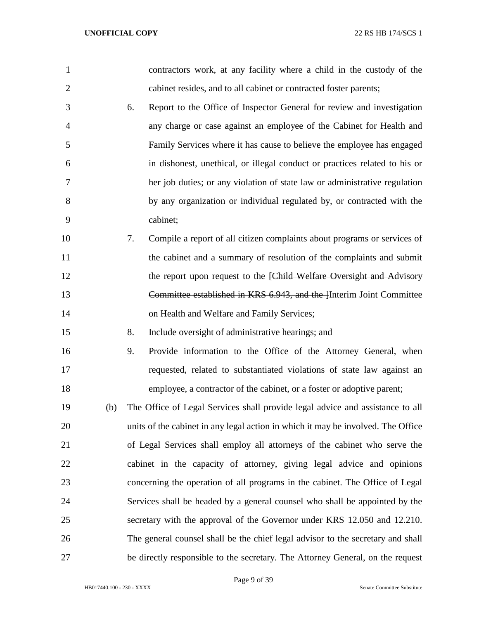| $\mathbf{1}$   |     |    | contractors work, at any facility where a child in the custody of the            |
|----------------|-----|----|----------------------------------------------------------------------------------|
| $\overline{2}$ |     |    | cabinet resides, and to all cabinet or contracted foster parents;                |
| 3              |     | 6. | Report to the Office of Inspector General for review and investigation           |
| $\overline{4}$ |     |    | any charge or case against an employee of the Cabinet for Health and             |
| 5              |     |    | Family Services where it has cause to believe the employee has engaged           |
| 6              |     |    | in dishonest, unethical, or illegal conduct or practices related to his or       |
| 7              |     |    | her job duties; or any violation of state law or administrative regulation       |
| 8              |     |    | by any organization or individual regulated by, or contracted with the           |
| 9              |     |    | cabinet;                                                                         |
| 10             |     | 7. | Compile a report of all citizen complaints about programs or services of         |
| 11             |     |    | the cabinet and a summary of resolution of the complaints and submit             |
| 12             |     |    | the report upon request to the [Child Welfare Oversight and Advisory             |
| 13             |     |    | Committee established in KRS 6.943, and the Interim Joint Committee              |
| 14             |     |    | on Health and Welfare and Family Services;                                       |
| 15             |     | 8. | Include oversight of administrative hearings; and                                |
| 16             |     | 9. | Provide information to the Office of the Attorney General, when                  |
| 17             |     |    | requested, related to substantiated violations of state law against an           |
| 18             |     |    | employee, a contractor of the cabinet, or a foster or adoptive parent;           |
| 19             | (b) |    | The Office of Legal Services shall provide legal advice and assistance to all    |
| 20             |     |    | units of the cabinet in any legal action in which it may be involved. The Office |
| 21             |     |    | of Legal Services shall employ all attorneys of the cabinet who serve the        |
| 22             |     |    | cabinet in the capacity of attorney, giving legal advice and opinions            |
| 23             |     |    | concerning the operation of all programs in the cabinet. The Office of Legal     |
| 24             |     |    | Services shall be headed by a general counsel who shall be appointed by the      |
| 25             |     |    | secretary with the approval of the Governor under KRS 12.050 and 12.210.         |
| 26             |     |    | The general counsel shall be the chief legal advisor to the secretary and shall  |
| 27             |     |    | be directly responsible to the secretary. The Attorney General, on the request   |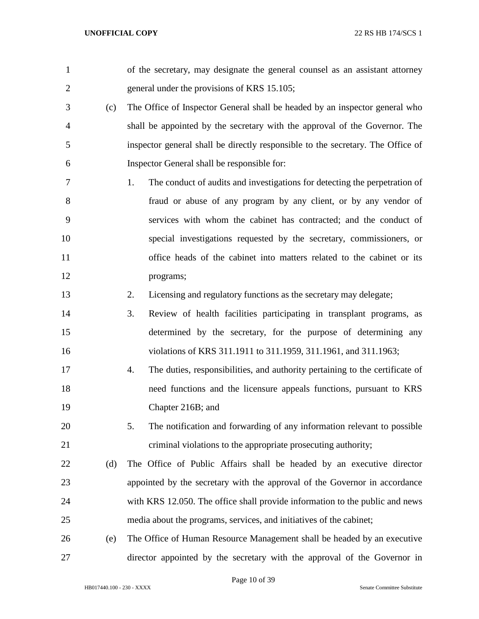| $\mathbf{1}$   |     | of the secretary, may designate the general counsel as an assistant attorney       |
|----------------|-----|------------------------------------------------------------------------------------|
| $\overline{2}$ |     | general under the provisions of KRS 15.105;                                        |
| 3              | (c) | The Office of Inspector General shall be headed by an inspector general who        |
| $\overline{4}$ |     | shall be appointed by the secretary with the approval of the Governor. The         |
| 5              |     | inspector general shall be directly responsible to the secretary. The Office of    |
| 6              |     | Inspector General shall be responsible for:                                        |
| $\overline{7}$ |     | The conduct of audits and investigations for detecting the perpetration of<br>1.   |
| 8              |     | fraud or abuse of any program by any client, or by any vendor of                   |
| 9              |     | services with whom the cabinet has contracted; and the conduct of                  |
| 10             |     | special investigations requested by the secretary, commissioners, or               |
| 11             |     | office heads of the cabinet into matters related to the cabinet or its             |
| 12             |     | programs;                                                                          |
| 13             |     | 2.<br>Licensing and regulatory functions as the secretary may delegate;            |
| 14             |     | 3.<br>Review of health facilities participating in transplant programs, as         |
| 15             |     | determined by the secretary, for the purpose of determining any                    |
| 16             |     | violations of KRS 311.1911 to 311.1959, 311.1961, and 311.1963;                    |
| 17             |     | The duties, responsibilities, and authority pertaining to the certificate of<br>4. |
| 18             |     | need functions and the licensure appeals functions, pursuant to KRS                |
| 19             |     | Chapter 216B; and                                                                  |
| 20             |     | 5.<br>The notification and forwarding of any information relevant to possible      |
| 21             |     | criminal violations to the appropriate prosecuting authority;                      |
| 22             | (d) | The Office of Public Affairs shall be headed by an executive director              |
| 23             |     | appointed by the secretary with the approval of the Governor in accordance         |
| 24             |     | with KRS 12.050. The office shall provide information to the public and news       |
| 25             |     | media about the programs, services, and initiatives of the cabinet;                |
| 26             | (e) | The Office of Human Resource Management shall be headed by an executive            |
| 27             |     | director appointed by the secretary with the approval of the Governor in           |

Page 10 of 39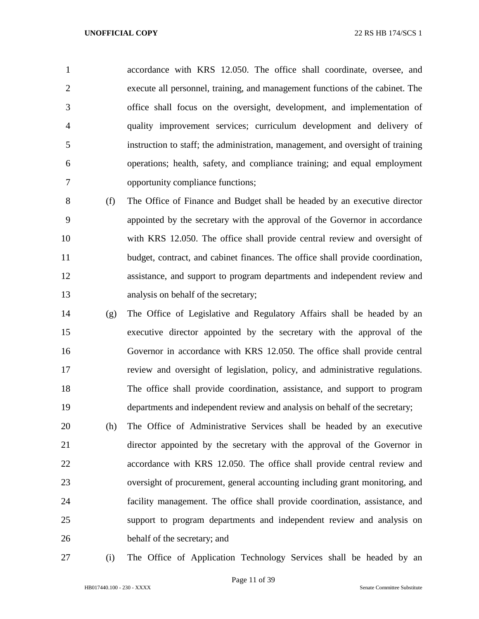accordance with KRS 12.050. The office shall coordinate, oversee, and execute all personnel, training, and management functions of the cabinet. The office shall focus on the oversight, development, and implementation of quality improvement services; curriculum development and delivery of instruction to staff; the administration, management, and oversight of training operations; health, safety, and compliance training; and equal employment opportunity compliance functions;

 (f) The Office of Finance and Budget shall be headed by an executive director appointed by the secretary with the approval of the Governor in accordance with KRS 12.050. The office shall provide central review and oversight of budget, contract, and cabinet finances. The office shall provide coordination, assistance, and support to program departments and independent review and analysis on behalf of the secretary;

- (g) The Office of Legislative and Regulatory Affairs shall be headed by an executive director appointed by the secretary with the approval of the Governor in accordance with KRS 12.050. The office shall provide central review and oversight of legislation, policy, and administrative regulations. The office shall provide coordination, assistance, and support to program departments and independent review and analysis on behalf of the secretary;
- (h) The Office of Administrative Services shall be headed by an executive director appointed by the secretary with the approval of the Governor in accordance with KRS 12.050. The office shall provide central review and oversight of procurement, general accounting including grant monitoring, and facility management. The office shall provide coordination, assistance, and support to program departments and independent review and analysis on behalf of the secretary; and
- 

(i) The Office of Application Technology Services shall be headed by an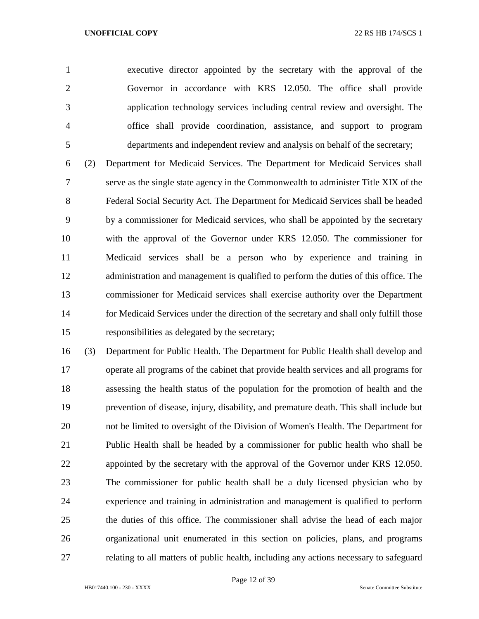executive director appointed by the secretary with the approval of the Governor in accordance with KRS 12.050. The office shall provide application technology services including central review and oversight. The office shall provide coordination, assistance, and support to program departments and independent review and analysis on behalf of the secretary;

 (2) Department for Medicaid Services. The Department for Medicaid Services shall serve as the single state agency in the Commonwealth to administer Title XIX of the Federal Social Security Act. The Department for Medicaid Services shall be headed by a commissioner for Medicaid services, who shall be appointed by the secretary with the approval of the Governor under KRS 12.050. The commissioner for Medicaid services shall be a person who by experience and training in administration and management is qualified to perform the duties of this office. The commissioner for Medicaid services shall exercise authority over the Department for Medicaid Services under the direction of the secretary and shall only fulfill those responsibilities as delegated by the secretary;

 (3) Department for Public Health. The Department for Public Health shall develop and operate all programs of the cabinet that provide health services and all programs for assessing the health status of the population for the promotion of health and the prevention of disease, injury, disability, and premature death. This shall include but not be limited to oversight of the Division of Women's Health. The Department for Public Health shall be headed by a commissioner for public health who shall be appointed by the secretary with the approval of the Governor under KRS 12.050. The commissioner for public health shall be a duly licensed physician who by experience and training in administration and management is qualified to perform the duties of this office. The commissioner shall advise the head of each major organizational unit enumerated in this section on policies, plans, and programs relating to all matters of public health, including any actions necessary to safeguard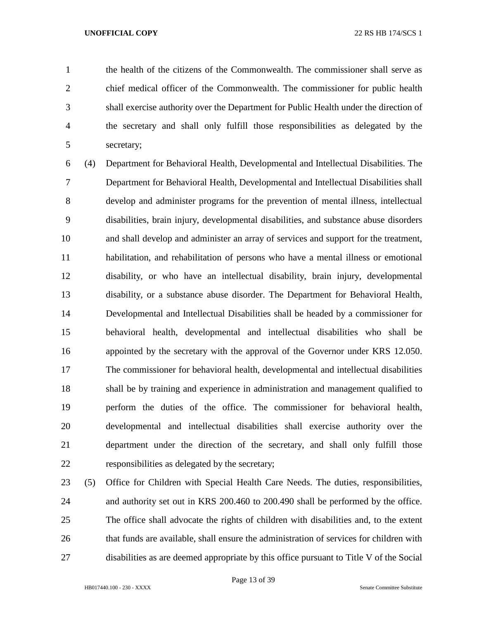the health of the citizens of the Commonwealth. The commissioner shall serve as chief medical officer of the Commonwealth. The commissioner for public health shall exercise authority over the Department for Public Health under the direction of the secretary and shall only fulfill those responsibilities as delegated by the secretary;

 (4) Department for Behavioral Health, Developmental and Intellectual Disabilities. The Department for Behavioral Health, Developmental and Intellectual Disabilities shall develop and administer programs for the prevention of mental illness, intellectual disabilities, brain injury, developmental disabilities, and substance abuse disorders and shall develop and administer an array of services and support for the treatment, habilitation, and rehabilitation of persons who have a mental illness or emotional disability, or who have an intellectual disability, brain injury, developmental disability, or a substance abuse disorder. The Department for Behavioral Health, Developmental and Intellectual Disabilities shall be headed by a commissioner for behavioral health, developmental and intellectual disabilities who shall be appointed by the secretary with the approval of the Governor under KRS 12.050. The commissioner for behavioral health, developmental and intellectual disabilities shall be by training and experience in administration and management qualified to perform the duties of the office. The commissioner for behavioral health, developmental and intellectual disabilities shall exercise authority over the department under the direction of the secretary, and shall only fulfill those responsibilities as delegated by the secretary;

 (5) Office for Children with Special Health Care Needs. The duties, responsibilities, and authority set out in KRS 200.460 to 200.490 shall be performed by the office. The office shall advocate the rights of children with disabilities and, to the extent that funds are available, shall ensure the administration of services for children with disabilities as are deemed appropriate by this office pursuant to Title V of the Social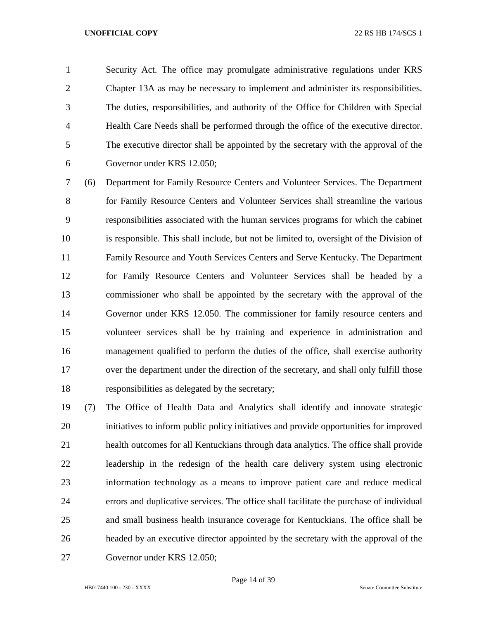Security Act. The office may promulgate administrative regulations under KRS Chapter 13A as may be necessary to implement and administer its responsibilities. The duties, responsibilities, and authority of the Office for Children with Special Health Care Needs shall be performed through the office of the executive director. The executive director shall be appointed by the secretary with the approval of the Governor under KRS 12.050;

 (6) Department for Family Resource Centers and Volunteer Services. The Department 8 for Family Resource Centers and Volunteer Services shall streamline the various responsibilities associated with the human services programs for which the cabinet is responsible. This shall include, but not be limited to, oversight of the Division of Family Resource and Youth Services Centers and Serve Kentucky. The Department for Family Resource Centers and Volunteer Services shall be headed by a commissioner who shall be appointed by the secretary with the approval of the Governor under KRS 12.050. The commissioner for family resource centers and volunteer services shall be by training and experience in administration and management qualified to perform the duties of the office, shall exercise authority 17 over the department under the direction of the secretary, and shall only fulfill those responsibilities as delegated by the secretary;

 (7) The Office of Health Data and Analytics shall identify and innovate strategic initiatives to inform public policy initiatives and provide opportunities for improved health outcomes for all Kentuckians through data analytics. The office shall provide leadership in the redesign of the health care delivery system using electronic information technology as a means to improve patient care and reduce medical errors and duplicative services. The office shall facilitate the purchase of individual and small business health insurance coverage for Kentuckians. The office shall be headed by an executive director appointed by the secretary with the approval of the Governor under KRS 12.050;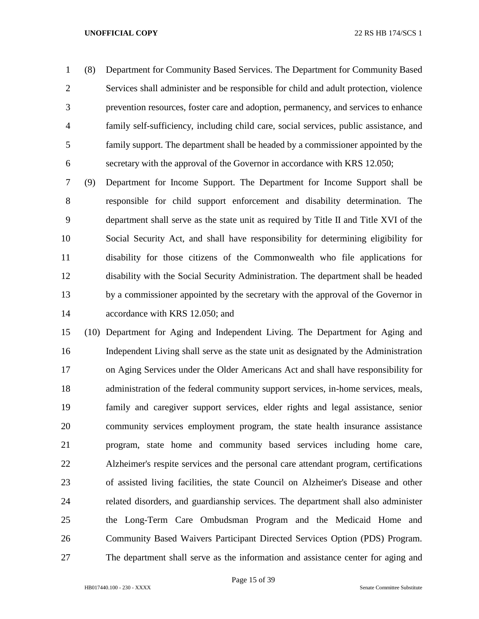(8) Department for Community Based Services. The Department for Community Based Services shall administer and be responsible for child and adult protection, violence prevention resources, foster care and adoption, permanency, and services to enhance family self-sufficiency, including child care, social services, public assistance, and family support. The department shall be headed by a commissioner appointed by the secretary with the approval of the Governor in accordance with KRS 12.050;

 (9) Department for Income Support. The Department for Income Support shall be responsible for child support enforcement and disability determination. The department shall serve as the state unit as required by Title II and Title XVI of the Social Security Act, and shall have responsibility for determining eligibility for disability for those citizens of the Commonwealth who file applications for disability with the Social Security Administration. The department shall be headed by a commissioner appointed by the secretary with the approval of the Governor in accordance with KRS 12.050; and

 (10) Department for Aging and Independent Living. The Department for Aging and Independent Living shall serve as the state unit as designated by the Administration on Aging Services under the Older Americans Act and shall have responsibility for administration of the federal community support services, in-home services, meals, family and caregiver support services, elder rights and legal assistance, senior community services employment program, the state health insurance assistance program, state home and community based services including home care, Alzheimer's respite services and the personal care attendant program, certifications of assisted living facilities, the state Council on Alzheimer's Disease and other related disorders, and guardianship services. The department shall also administer the Long-Term Care Ombudsman Program and the Medicaid Home and Community Based Waivers Participant Directed Services Option (PDS) Program. The department shall serve as the information and assistance center for aging and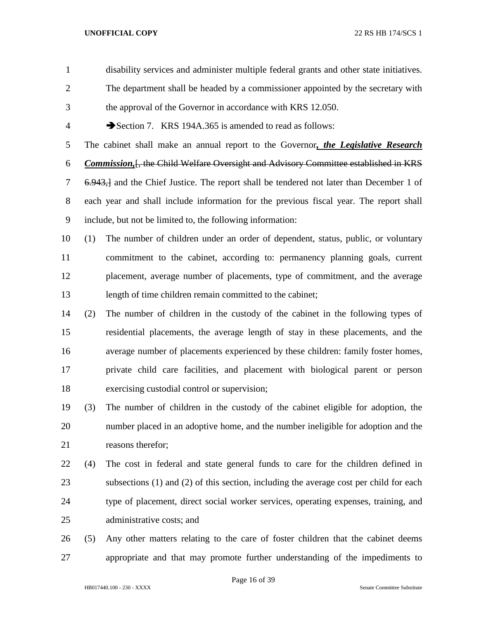| $\mathbf{1}$   |     | disability services and administer multiple federal grants and other state initiatives.     |
|----------------|-----|---------------------------------------------------------------------------------------------|
| $\overline{2}$ |     | The department shall be headed by a commissioner appointed by the secretary with            |
| 3              |     | the approval of the Governor in accordance with KRS 12.050.                                 |
| $\overline{4}$ |     | Section 7. KRS 194A.365 is amended to read as follows:                                      |
| 5              |     | The cabinet shall make an annual report to the Governor, the Legislative Research           |
| 6              |     | <b>Commission, [, the Child Welfare Oversight and Advisory Committee established in KRS</b> |
| $\tau$         |     | 6.943, and the Chief Justice. The report shall be tendered not later than December 1 of     |
| 8              |     | each year and shall include information for the previous fiscal year. The report shall      |
| 9              |     | include, but not be limited to, the following information:                                  |
| 10             | (1) | The number of children under an order of dependent, status, public, or voluntary            |
| 11             |     | commitment to the cabinet, according to: permanency planning goals, current                 |
| 12             |     | placement, average number of placements, type of commitment, and the average                |
| 13             |     | length of time children remain committed to the cabinet;                                    |
| 14             | (2) | The number of children in the custody of the cabinet in the following types of              |
| 15             |     | residential placements, the average length of stay in these placements, and the             |
| 16             |     | average number of placements experienced by these children: family foster homes,            |
| 17             |     | private child care facilities, and placement with biological parent or person               |
| 18             |     | exercising custodial control or supervision;                                                |
| 19             | (3) | The number of children in the custody of the cabinet eligible for adoption, the             |
| 20             |     | number placed in an adoptive home, and the number ineligible for adoption and the           |
| 21             |     | reasons therefor;                                                                           |
| 22             | (4) | The cost in federal and state general funds to care for the children defined in             |
| 23             |     | subsections (1) and (2) of this section, including the average cost per child for each      |
| 24             |     | type of placement, direct social worker services, operating expenses, training, and         |
| 25             |     | administrative costs; and                                                                   |
| 26             | (5) | Any other matters relating to the care of foster children that the cabinet deems            |
| 27             |     | appropriate and that may promote further understanding of the impediments to                |

HB017440.100 - 230 - XXXX Senate Committee Substitute

Page 16 of 39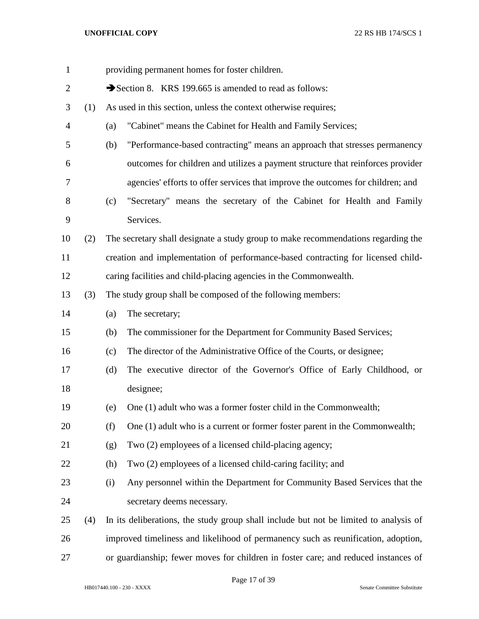| $\mathbf{1}$   |     |     | providing permanent homes for foster children.                                        |
|----------------|-----|-----|---------------------------------------------------------------------------------------|
| $\overline{2}$ |     |     | Section 8. KRS 199.665 is amended to read as follows:                                 |
| 3              | (1) |     | As used in this section, unless the context otherwise requires;                       |
| $\overline{4}$ |     | (a) | "Cabinet" means the Cabinet for Health and Family Services;                           |
| 5              |     | (b) | "Performance-based contracting" means an approach that stresses permanency            |
| 6              |     |     | outcomes for children and utilizes a payment structure that reinforces provider       |
| 7              |     |     | agencies' efforts to offer services that improve the outcomes for children; and       |
| 8              |     | (c) | "Secretary" means the secretary of the Cabinet for Health and Family                  |
| 9              |     |     | Services.                                                                             |
| 10             | (2) |     | The secretary shall designate a study group to make recommendations regarding the     |
| 11             |     |     | creation and implementation of performance-based contracting for licensed child-      |
| 12             |     |     | caring facilities and child-placing agencies in the Commonwealth.                     |
| 13             | (3) |     | The study group shall be composed of the following members:                           |
| 14             |     | (a) | The secretary;                                                                        |
| 15             |     | (b) | The commissioner for the Department for Community Based Services;                     |
| 16             |     | (c) | The director of the Administrative Office of the Courts, or designee;                 |
| 17             |     | (d) | The executive director of the Governor's Office of Early Childhood, or                |
| 18             |     |     | designee;                                                                             |
| 19             |     | (e) | One (1) adult who was a former foster child in the Commonwealth;                      |
| 20             |     | (f) | One (1) adult who is a current or former foster parent in the Commonwealth;           |
| 21             |     | (g) | Two (2) employees of a licensed child-placing agency;                                 |
| 22             |     | (h) | Two (2) employees of a licensed child-caring facility; and                            |
| 23             |     | (i) | Any personnel within the Department for Community Based Services that the             |
| 24             |     |     | secretary deems necessary.                                                            |
| 25             | (4) |     | In its deliberations, the study group shall include but not be limited to analysis of |
| 26             |     |     | improved timeliness and likelihood of permanency such as reunification, adoption,     |
| 27             |     |     | or guardianship; fewer moves for children in foster care; and reduced instances of    |

HB017440.100 - 230 - XXXX Senate Committee Substitute

Page 17 of 39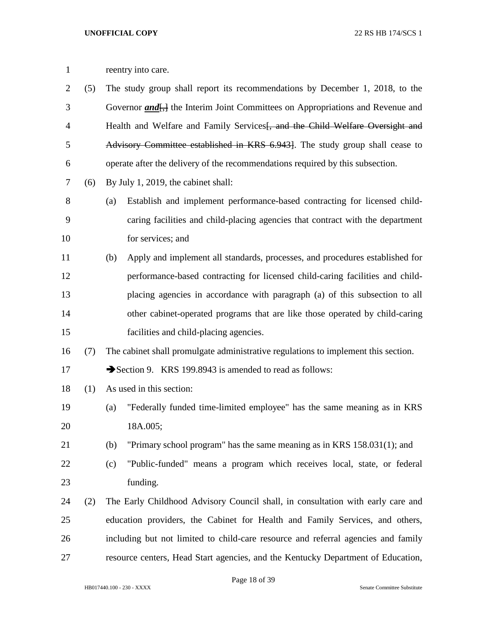| $\mathbf{1}$   |     | reentry into care.                                                                                |
|----------------|-----|---------------------------------------------------------------------------------------------------|
| $\mathbf{2}$   | (5) | The study group shall report its recommendations by December 1, 2018, to the                      |
| 3              |     | Governor <i>and</i> <sub>1</sub> , the Interim Joint Committees on Appropriations and Revenue and |
| $\overline{4}$ |     | Health and Welfare and Family Services and the Child Welfare Oversight and                        |
| 5              |     | Advisory Committee established in KRS 6.943. The study group shall cease to                       |
| 6              |     | operate after the delivery of the recommendations required by this subsection.                    |
| $\tau$         | (6) | By July 1, 2019, the cabinet shall:                                                               |
| 8              |     | Establish and implement performance-based contracting for licensed child-<br>(a)                  |
| 9              |     | caring facilities and child-placing agencies that contract with the department                    |
| 10             |     | for services; and                                                                                 |
| 11             |     | Apply and implement all standards, processes, and procedures established for<br>(b)               |
| 12             |     | performance-based contracting for licensed child-caring facilities and child-                     |
| 13             |     | placing agencies in accordance with paragraph (a) of this subsection to all                       |
| 14             |     | other cabinet-operated programs that are like those operated by child-caring                      |
| 15             |     | facilities and child-placing agencies.                                                            |
| 16             | (7) | The cabinet shall promulgate administrative regulations to implement this section.                |
| 17             |     | Section 9. KRS 199.8943 is amended to read as follows:                                            |
| 18             | (1) | As used in this section:                                                                          |
| 19             |     | "Federally funded time-limited employee" has the same meaning as in KRS<br>(a)                    |
| 20             |     | 18A.005;                                                                                          |
| 21             |     | (b)<br>"Primary school program" has the same meaning as in KRS 158.031(1); and                    |
| 22             |     | "Public-funded" means a program which receives local, state, or federal<br>(c)                    |
| 23             |     | funding.                                                                                          |
| 24             | (2) | The Early Childhood Advisory Council shall, in consultation with early care and                   |
| 25             |     | education providers, the Cabinet for Health and Family Services, and others,                      |
| 26             |     | including but not limited to child-care resource and referral agencies and family                 |

HB017440.100 - 230 - XXXX Senate Committee Substitute

Page 18 of 39

resource centers, Head Start agencies, and the Kentucky Department of Education,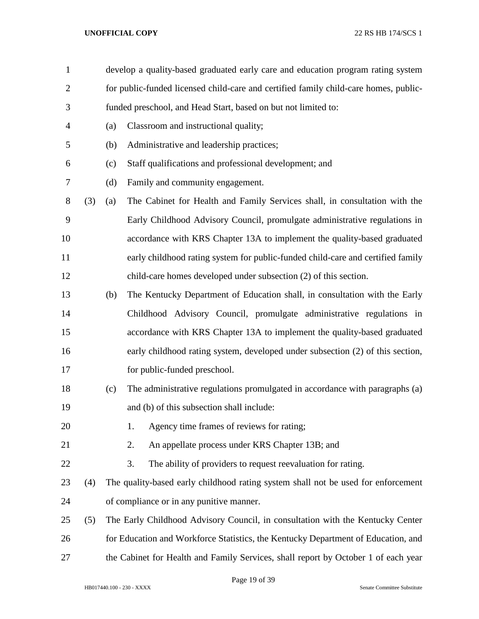| $\mathbf{1}$   |     |     | develop a quality-based graduated early care and education program rating system     |
|----------------|-----|-----|--------------------------------------------------------------------------------------|
| $\overline{2}$ |     |     | for public-funded licensed child-care and certified family child-care homes, public- |
| 3              |     |     | funded preschool, and Head Start, based on but not limited to:                       |
| $\overline{4}$ |     | (a) | Classroom and instructional quality;                                                 |
| 5              |     | (b) | Administrative and leadership practices;                                             |
| 6              |     | (c) | Staff qualifications and professional development; and                               |
| 7              |     | (d) | Family and community engagement.                                                     |
| 8              | (3) | (a) | The Cabinet for Health and Family Services shall, in consultation with the           |
| 9              |     |     | Early Childhood Advisory Council, promulgate administrative regulations in           |
| 10             |     |     | accordance with KRS Chapter 13A to implement the quality-based graduated             |
| 11             |     |     | early childhood rating system for public-funded child-care and certified family      |
| 12             |     |     | child-care homes developed under subsection (2) of this section.                     |
| 13             |     | (b) | The Kentucky Department of Education shall, in consultation with the Early           |
| 14             |     |     | Childhood Advisory Council, promulgate administrative regulations in                 |
| 15             |     |     | accordance with KRS Chapter 13A to implement the quality-based graduated             |
| 16             |     |     | early childhood rating system, developed under subsection (2) of this section,       |
| 17             |     |     | for public-funded preschool.                                                         |
| 18             |     | (c) | The administrative regulations promulgated in accordance with paragraphs (a)         |
| 19             |     |     | and (b) of this subsection shall include:                                            |
| 20             |     |     | Agency time frames of reviews for rating;<br>1.                                      |
| 21             |     |     | An appellate process under KRS Chapter 13B; and<br>2.                                |
| 22             |     |     | 3.<br>The ability of providers to request reevaluation for rating.                   |
| 23             | (4) |     | The quality-based early childhood rating system shall not be used for enforcement    |
| 24             |     |     | of compliance or in any punitive manner.                                             |
| 25             | (5) |     | The Early Childhood Advisory Council, in consultation with the Kentucky Center       |
| 26             |     |     | for Education and Workforce Statistics, the Kentucky Department of Education, and    |
| 27             |     |     | the Cabinet for Health and Family Services, shall report by October 1 of each year   |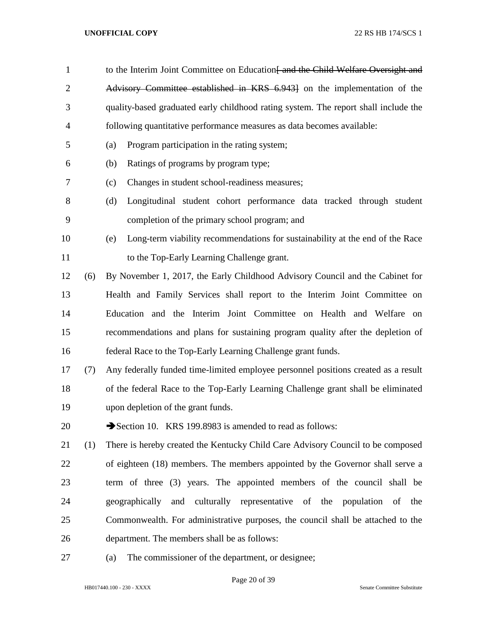| $\mathbf{1}$   |     | to the Interim Joint Committee on Education and the Child Welfare Oversight and      |
|----------------|-----|--------------------------------------------------------------------------------------|
| $\overline{2}$ |     | Advisory Committee established in KRS 6.9431 on the implementation of the            |
| 3              |     | quality-based graduated early childhood rating system. The report shall include the  |
| $\overline{4}$ |     | following quantitative performance measures as data becomes available:               |
| 5              |     | Program participation in the rating system;<br>(a)                                   |
| 6              |     | Ratings of programs by program type;<br>(b)                                          |
| 7              |     | Changes in student school-readiness measures;<br>(c)                                 |
| 8              |     | Longitudinal student cohort performance data tracked through student<br>(d)          |
| 9              |     | completion of the primary school program; and                                        |
| 10             |     | Long-term viability recommendations for sustainability at the end of the Race<br>(e) |
| 11             |     | to the Top-Early Learning Challenge grant.                                           |
| 12             | (6) | By November 1, 2017, the Early Childhood Advisory Council and the Cabinet for        |
| 13             |     | Health and Family Services shall report to the Interim Joint Committee on            |
| 14             |     | Education and the Interim Joint Committee on Health and Welfare<br>on                |
| 15             |     | recommendations and plans for sustaining program quality after the depletion of      |
| 16             |     | federal Race to the Top-Early Learning Challenge grant funds.                        |
| 17             | (7) | Any federally funded time-limited employee personnel positions created as a result   |
| 18             |     | of the federal Race to the Top-Early Learning Challenge grant shall be eliminated    |
| 19             |     | upon depletion of the grant funds.                                                   |
| 20             |     | Section 10. KRS 199.8983 is amended to read as follows:                              |
| 21             | (1) | There is hereby created the Kentucky Child Care Advisory Council to be composed      |
| 22             |     | of eighteen (18) members. The members appointed by the Governor shall serve a        |
| 23             |     | term of three (3) years. The appointed members of the council shall be               |
| 24             |     | geographically and culturally representative of the population of the                |
| 25             |     | Commonwealth. For administrative purposes, the council shall be attached to the      |
| 26             |     | department. The members shall be as follows:                                         |
| 27             |     | The commissioner of the department, or designee;<br>(a)                              |

Page 20 of 39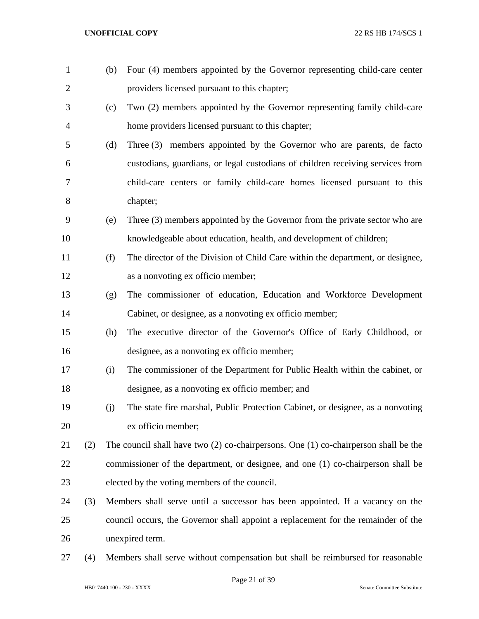| $\mathbf{1}$   |     | (b) | Four (4) members appointed by the Governor representing child-care center               |
|----------------|-----|-----|-----------------------------------------------------------------------------------------|
| $\overline{2}$ |     |     | providers licensed pursuant to this chapter;                                            |
| 3              |     | (c) | Two (2) members appointed by the Governor representing family child-care                |
| $\overline{4}$ |     |     | home providers licensed pursuant to this chapter;                                       |
| 5              |     | (d) | Three (3) members appointed by the Governor who are parents, de facto                   |
| 6              |     |     | custodians, guardians, or legal custodians of children receiving services from          |
| 7              |     |     | child-care centers or family child-care homes licensed pursuant to this                 |
| 8              |     |     | chapter;                                                                                |
| 9              |     | (e) | Three (3) members appointed by the Governor from the private sector who are             |
| 10             |     |     | knowledgeable about education, health, and development of children;                     |
| 11             |     | (f) | The director of the Division of Child Care within the department, or designee,          |
| 12             |     |     | as a nonvoting ex officio member;                                                       |
| 13             |     | (g) | The commissioner of education, Education and Workforce Development                      |
| 14             |     |     | Cabinet, or designee, as a nonvoting ex officio member;                                 |
| 15             |     | (h) | The executive director of the Governor's Office of Early Childhood, or                  |
| 16             |     |     | designee, as a nonvoting ex officio member;                                             |
| 17             |     | (i) | The commissioner of the Department for Public Health within the cabinet, or             |
| 18             |     |     | designee, as a nonvoting ex officio member; and                                         |
| 19             |     | (j) | The state fire marshal, Public Protection Cabinet, or designee, as a nonvoting          |
| 20             |     |     | ex officio member;                                                                      |
| 21             | (2) |     | The council shall have two $(2)$ co-chairpersons. One $(1)$ co-chairperson shall be the |
| 22             |     |     | commissioner of the department, or designee, and one (1) co-chairperson shall be        |
| 23             |     |     | elected by the voting members of the council.                                           |
| 24             | (3) |     | Members shall serve until a successor has been appointed. If a vacancy on the           |
| 25             |     |     | council occurs, the Governor shall appoint a replacement for the remainder of the       |
| 26             |     |     | unexpired term.                                                                         |
|                |     |     |                                                                                         |

(4) Members shall serve without compensation but shall be reimbursed for reasonable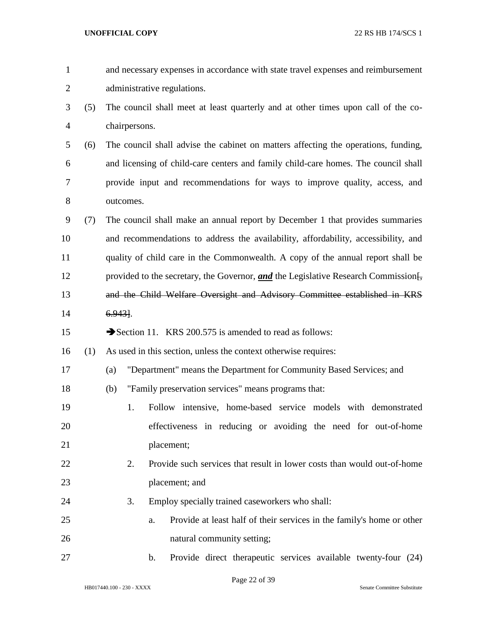| $\mathbf{1}$   |     | and necessary expenses in accordance with state travel expenses and reimbursement                |
|----------------|-----|--------------------------------------------------------------------------------------------------|
| $\overline{2}$ |     | administrative regulations.                                                                      |
| 3              | (5) | The council shall meet at least quarterly and at other times upon call of the co-                |
| 4              |     | chairpersons.                                                                                    |
| 5              | (6) | The council shall advise the cabinet on matters affecting the operations, funding,               |
| 6              |     | and licensing of child-care centers and family child-care homes. The council shall               |
| 7              |     | provide input and recommendations for ways to improve quality, access, and                       |
| 8              |     | outcomes.                                                                                        |
| 9              | (7) | The council shall make an annual report by December 1 that provides summaries                    |
| 10             |     | and recommendations to address the availability, affordability, accessibility, and               |
| 11             |     | quality of child care in the Commonwealth. A copy of the annual report shall be                  |
| 12             |     | provided to the secretary, the Governor, and the Legislative Research Commission $\frac{1}{2}$ , |
| 13             |     | and the Child Welfare Oversight and Advisory Committee established in KRS                        |
| 14             |     | $6.943$ .                                                                                        |
| 15             |     | Section 11. KRS 200.575 is amended to read as follows:                                           |
| 16             | (1) | As used in this section, unless the context otherwise requires:                                  |
| 17             |     | "Department" means the Department for Community Based Services; and<br>(a)                       |
| 18             |     | "Family preservation services" means programs that:<br>(b)                                       |
| 19             |     | 1.<br>Follow intensive, home-based service models with demonstrated                              |
| 20             |     | effectiveness in reducing or avoiding the need for out-of-home                                   |
| 21             |     | placement;                                                                                       |
| 22             |     | 2.<br>Provide such services that result in lower costs than would out-of-home                    |
| 23             |     | placement; and                                                                                   |
| 24             |     | 3.<br>Employ specially trained caseworkers who shall:                                            |
| 25             |     | Provide at least half of their services in the family's home or other<br>a.                      |
| 26             |     | natural community setting;                                                                       |
| 27             |     | Provide direct therapeutic services available twenty-four (24)<br>b.                             |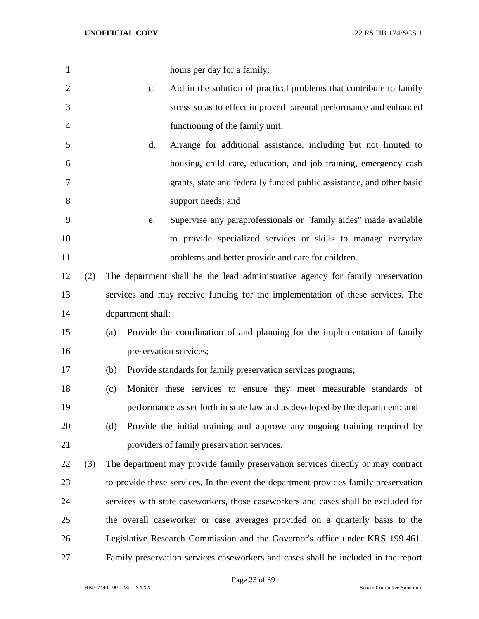| $\mathbf{1}$   |     | hours per day for a family;                                                         |
|----------------|-----|-------------------------------------------------------------------------------------|
| $\overline{2}$ |     | Aid in the solution of practical problems that contribute to family<br>c.           |
| 3              |     | stress so as to effect improved parental performance and enhanced                   |
| $\overline{4}$ |     | functioning of the family unit;                                                     |
| 5              |     | Arrange for additional assistance, including but not limited to<br>d.               |
| 6              |     | housing, child care, education, and job training, emergency cash                    |
| $\tau$         |     | grants, state and federally funded public assistance, and other basic               |
| 8              |     | support needs; and                                                                  |
| 9              |     | Supervise any paraprofessionals or "family aides" made available<br>e.              |
| 10             |     | to provide specialized services or skills to manage everyday                        |
| 11             |     | problems and better provide and care for children.                                  |
| 12             | (2) | The department shall be the lead administrative agency for family preservation      |
| 13             |     | services and may receive funding for the implementation of these services. The      |
| 14             |     | department shall:                                                                   |
| 15             |     | Provide the coordination of and planning for the implementation of family<br>(a)    |
| 16             |     | preservation services;                                                              |
| 17             |     | Provide standards for family preservation services programs;<br>(b)                 |
| 18             |     | Monitor these services to ensure they meet measurable standards of<br>(c)           |
| 19             |     | performance as set forth in state law and as developed by the department; and       |
| 20             |     | Provide the initial training and approve any ongoing training required by<br>(d)    |
| 21             |     | providers of family preservation services.                                          |
| 22             | (3) | The department may provide family preservation services directly or may contract    |
| 23             |     | to provide these services. In the event the department provides family preservation |
| 24             |     | services with state caseworkers, those caseworkers and cases shall be excluded for  |
| 25             |     | the overall caseworker or case averages provided on a quarterly basis to the        |
| 26             |     | Legislative Research Commission and the Governor's office under KRS 199.461.        |
| 27             |     | Family preservation services caseworkers and cases shall be included in the report  |

Page 23 of 39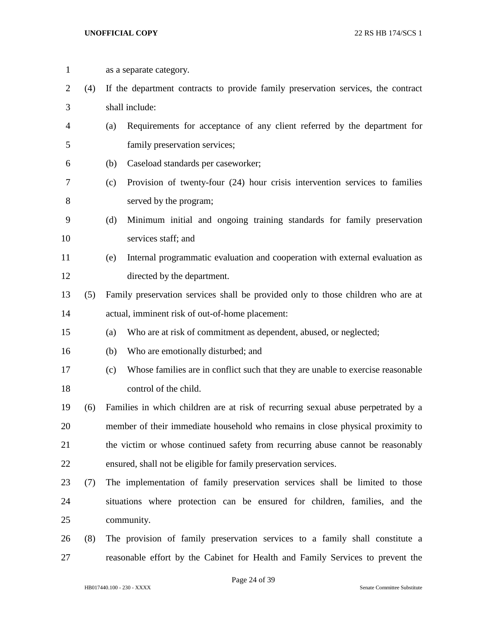as a separate category. (4) If the department contracts to provide family preservation services, the contract shall include: (a) Requirements for acceptance of any client referred by the department for family preservation services; (b) Caseload standards per caseworker; (c) Provision of twenty-four (24) hour crisis intervention services to families served by the program; (d) Minimum initial and ongoing training standards for family preservation services staff; and (e) Internal programmatic evaluation and cooperation with external evaluation as directed by the department. (5) Family preservation services shall be provided only to those children who are at actual, imminent risk of out-of-home placement: (a) Who are at risk of commitment as dependent, abused, or neglected; (b) Who are emotionally disturbed; and (c) Whose families are in conflict such that they are unable to exercise reasonable control of the child. (6) Families in which children are at risk of recurring sexual abuse perpetrated by a member of their immediate household who remains in close physical proximity to the victim or whose continued safety from recurring abuse cannot be reasonably ensured, shall not be eligible for family preservation services. (7) The implementation of family preservation services shall be limited to those situations where protection can be ensured for children, families, and the community. (8) The provision of family preservation services to a family shall constitute a reasonable effort by the Cabinet for Health and Family Services to prevent the

Page 24 of 39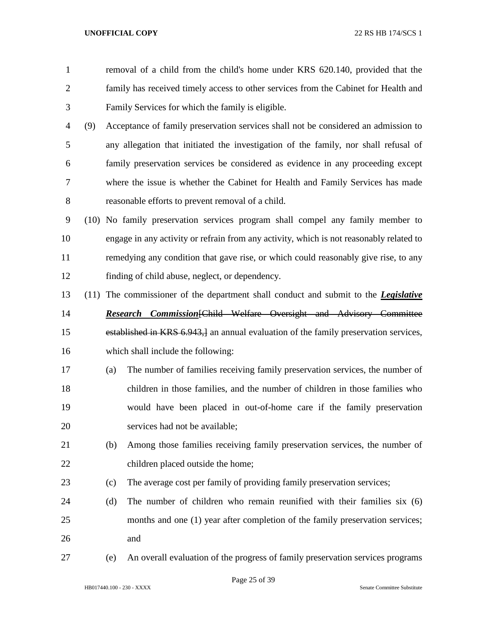- removal of a child from the child's home under KRS 620.140, provided that the family has received timely access to other services from the Cabinet for Health and Family Services for which the family is eligible.
- (9) Acceptance of family preservation services shall not be considered an admission to any allegation that initiated the investigation of the family, nor shall refusal of family preservation services be considered as evidence in any proceeding except where the issue is whether the Cabinet for Health and Family Services has made reasonable efforts to prevent removal of a child.
- (10) No family preservation services program shall compel any family member to engage in any activity or refrain from any activity, which is not reasonably related to remedying any condition that gave rise, or which could reasonably give rise, to any finding of child abuse, neglect, or dependency.
- (11) The commissioner of the department shall conduct and submit to the *Legislative Research Commission*[Child Welfare Oversight and Advisory Committee established in KRS 6.943,] an annual evaluation of the family preservation services, which shall include the following:
- (a) The number of families receiving family preservation services, the number of children in those families, and the number of children in those families who would have been placed in out-of-home care if the family preservation services had not be available;
- (b) Among those families receiving family preservation services, the number of 22 children placed outside the home;
- (c) The average cost per family of providing family preservation services;
- (d) The number of children who remain reunified with their families six (6) months and one (1) year after completion of the family preservation services; and
- (e) An overall evaluation of the progress of family preservation services programs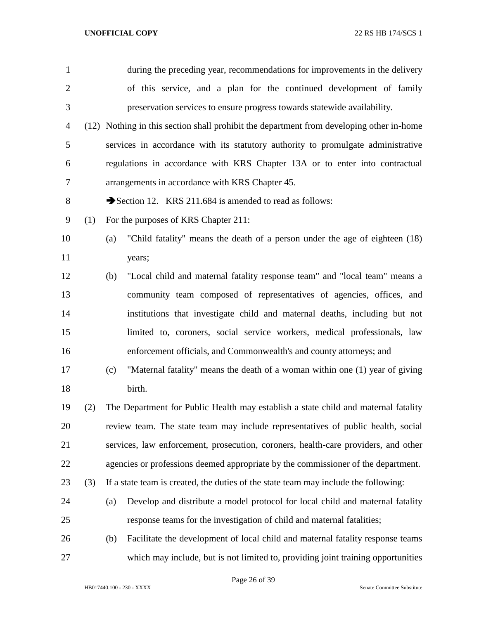| $\mathbf{1}$   |     | during the preceding year, recommendations for improvements in the delivery              |
|----------------|-----|------------------------------------------------------------------------------------------|
| $\overline{2}$ |     | of this service, and a plan for the continued development of family                      |
| 3              |     | preservation services to ensure progress towards statewide availability.                 |
| $\overline{4}$ |     | (12) Nothing in this section shall prohibit the department from developing other in-home |
| 5              |     | services in accordance with its statutory authority to promulgate administrative         |
| 6              |     | regulations in accordance with KRS Chapter 13A or to enter into contractual              |
| 7              |     | arrangements in accordance with KRS Chapter 45.                                          |
| 8              |     | Section 12. KRS 211.684 is amended to read as follows:                                   |
| 9              | (1) | For the purposes of KRS Chapter 211:                                                     |
| 10             |     | "Child fatality" means the death of a person under the age of eighteen (18)<br>(a)       |
| 11             |     | years;                                                                                   |
| 12             |     | "Local child and maternal fatality response team" and "local team" means a<br>(b)        |
| 13             |     | community team composed of representatives of agencies, offices, and                     |
| 14             |     | institutions that investigate child and maternal deaths, including but not               |
| 15             |     | limited to, coroners, social service workers, medical professionals, law                 |
| 16             |     | enforcement officials, and Commonwealth's and county attorneys; and                      |
| 17             |     | "Maternal fatality" means the death of a woman within one (1) year of giving<br>(c)      |
| 18             |     | birth.                                                                                   |
| 19             | (2) | The Department for Public Health may establish a state child and maternal fatality       |
| 20             |     | review team. The state team may include representatives of public health, social         |
| 21             |     | services, law enforcement, prosecution, coroners, health-care providers, and other       |
| 22             |     | agencies or professions deemed appropriate by the commissioner of the department.        |
| 23             | (3) | If a state team is created, the duties of the state team may include the following:      |
| 24             |     | Develop and distribute a model protocol for local child and maternal fatality<br>(a)     |
| 25             |     | response teams for the investigation of child and maternal fatalities;                   |
| 26             |     | Facilitate the development of local child and maternal fatality response teams<br>(b)    |
| 27             |     | which may include, but is not limited to, providing joint training opportunities         |

Page 26 of 39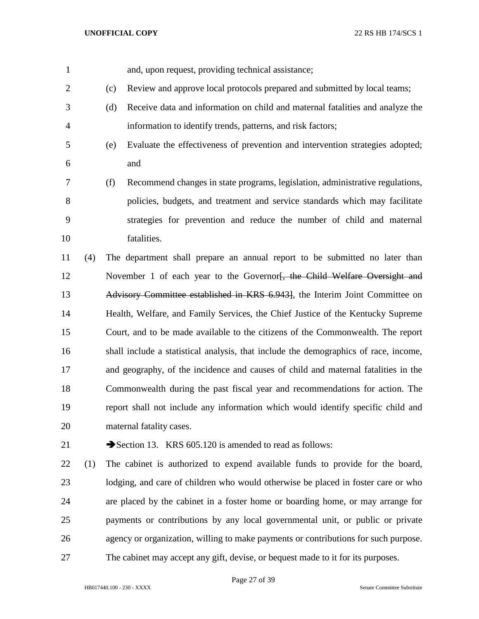and, upon request, providing technical assistance;

(c) Review and approve local protocols prepared and submitted by local teams;

- (d) Receive data and information on child and maternal fatalities and analyze the information to identify trends, patterns, and risk factors;
- (e) Evaluate the effectiveness of prevention and intervention strategies adopted; and

 (f) Recommend changes in state programs, legislation, administrative regulations, policies, budgets, and treatment and service standards which may facilitate strategies for prevention and reduce the number of child and maternal fatalities.

 (4) The department shall prepare an annual report to be submitted no later than 12 November 1 of each year to the Governor<del>, the Child Welfare Oversight and</del> Advisory Committee established in KRS 6.943], the Interim Joint Committee on Health, Welfare, and Family Services, the Chief Justice of the Kentucky Supreme Court, and to be made available to the citizens of the Commonwealth. The report shall include a statistical analysis, that include the demographics of race, income, and geography, of the incidence and causes of child and maternal fatalities in the Commonwealth during the past fiscal year and recommendations for action. The report shall not include any information which would identify specific child and maternal fatality cases.

21 Section 13. KRS 605.120 is amended to read as follows:

 (1) The cabinet is authorized to expend available funds to provide for the board, lodging, and care of children who would otherwise be placed in foster care or who are placed by the cabinet in a foster home or boarding home, or may arrange for payments or contributions by any local governmental unit, or public or private agency or organization, willing to make payments or contributions for such purpose. The cabinet may accept any gift, devise, or bequest made to it for its purposes.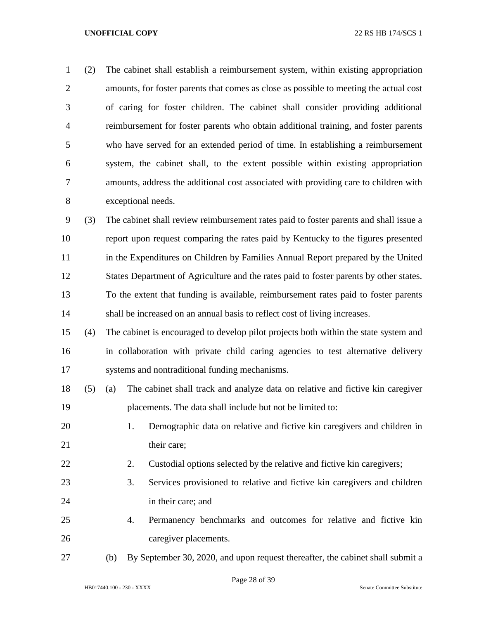(2) The cabinet shall establish a reimbursement system, within existing appropriation amounts, for foster parents that comes as close as possible to meeting the actual cost of caring for foster children. The cabinet shall consider providing additional reimbursement for foster parents who obtain additional training, and foster parents who have served for an extended period of time. In establishing a reimbursement system, the cabinet shall, to the extent possible within existing appropriation amounts, address the additional cost associated with providing care to children with exceptional needs.

 (3) The cabinet shall review reimbursement rates paid to foster parents and shall issue a report upon request comparing the rates paid by Kentucky to the figures presented in the Expenditures on Children by Families Annual Report prepared by the United States Department of Agriculture and the rates paid to foster parents by other states. To the extent that funding is available, reimbursement rates paid to foster parents shall be increased on an annual basis to reflect cost of living increases.

 (4) The cabinet is encouraged to develop pilot projects both within the state system and in collaboration with private child caring agencies to test alternative delivery systems and nontraditional funding mechanisms.

- (5) (a) The cabinet shall track and analyze data on relative and fictive kin caregiver placements. The data shall include but not be limited to:
- 1. Demographic data on relative and fictive kin caregivers and children in 21 their care;
- 2. Custodial options selected by the relative and fictive kin caregivers;
- 3. Services provisioned to relative and fictive kin caregivers and children in their care; and
- 4. Permanency benchmarks and outcomes for relative and fictive kin caregiver placements.
- 

(b) By September 30, 2020, and upon request thereafter, the cabinet shall submit a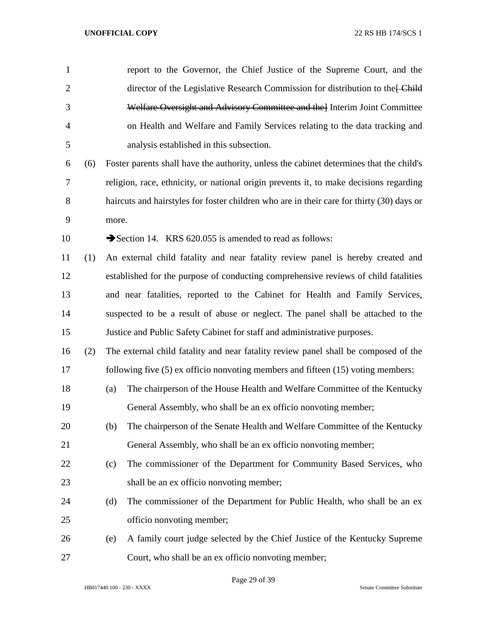| $\mathbf{1}$   |     |       | report to the Governor, the Chief Justice of the Supreme Court, and the                   |
|----------------|-----|-------|-------------------------------------------------------------------------------------------|
| $\overline{2}$ |     |       | director of the Legislative Research Commission for distribution to the Ethild            |
| 3              |     |       | Welfare Oversight and Advisory Committee and the Interim Joint Committee                  |
| $\overline{4}$ |     |       | on Health and Welfare and Family Services relating to the data tracking and               |
| 5              |     |       | analysis established in this subsection.                                                  |
| 6              | (6) |       | Foster parents shall have the authority, unless the cabinet determines that the child's   |
| 7              |     |       | religion, race, ethnicity, or national origin prevents it, to make decisions regarding    |
| 8              |     |       | haircuts and hairstyles for foster children who are in their care for thirty (30) days or |
| 9              |     | more. |                                                                                           |
| 10             |     |       | Section 14. KRS 620.055 is amended to read as follows:                                    |
| 11             | (1) |       | An external child fatality and near fatality review panel is hereby created and           |
| 12             |     |       | established for the purpose of conducting comprehensive reviews of child fatalities       |
| 13             |     |       | and near fatalities, reported to the Cabinet for Health and Family Services,              |
| 14             |     |       | suspected to be a result of abuse or neglect. The panel shall be attached to the          |
| 15             |     |       | Justice and Public Safety Cabinet for staff and administrative purposes.                  |
| 16             | (2) |       | The external child fatality and near fatality review panel shall be composed of the       |
| 17             |     |       | following five $(5)$ ex officio nonvoting members and fifteen $(15)$ voting members:      |
| 18             |     | (a)   | The chairperson of the House Health and Welfare Committee of the Kentucky                 |
| 19             |     |       | General Assembly, who shall be an ex officio nonvoting member;                            |
| 20             |     | (b)   | The chairperson of the Senate Health and Welfare Committee of the Kentucky                |
| 21             |     |       | General Assembly, who shall be an ex officio nonvoting member;                            |
| 22             |     | (c)   | The commissioner of the Department for Community Based Services, who                      |
| 23             |     |       | shall be an ex officio nonvoting member;                                                  |
| 24             |     | (d)   | The commissioner of the Department for Public Health, who shall be an ex                  |
| 25             |     |       | officio nonvoting member;                                                                 |
| 26             |     | (e)   | A family court judge selected by the Chief Justice of the Kentucky Supreme                |
| 27             |     |       | Court, who shall be an ex officio nonvoting member;                                       |

Page 29 of 39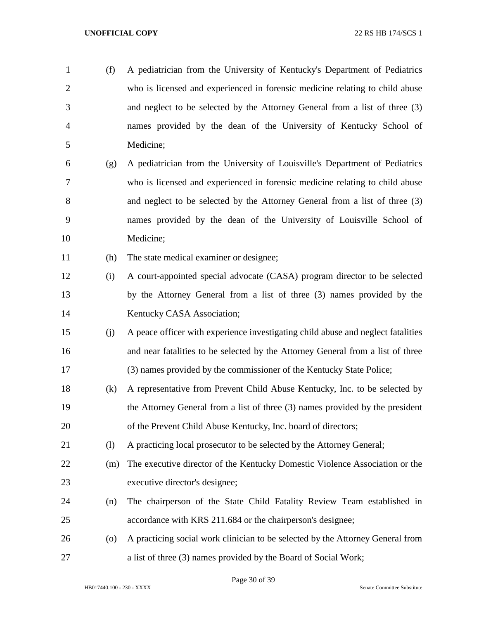(f) A pediatrician from the University of Kentucky's Department of Pediatrics who is licensed and experienced in forensic medicine relating to child abuse and neglect to be selected by the Attorney General from a list of three (3) names provided by the dean of the University of Kentucky School of Medicine; (g) A pediatrician from the University of Louisville's Department of Pediatrics who is licensed and experienced in forensic medicine relating to child abuse and neglect to be selected by the Attorney General from a list of three (3) names provided by the dean of the University of Louisville School of Medicine; (h) The state medical examiner or designee; (i) A court-appointed special advocate (CASA) program director to be selected by the Attorney General from a list of three (3) names provided by the 14 Kentucky CASA Association; (j) A peace officer with experience investigating child abuse and neglect fatalities and near fatalities to be selected by the Attorney General from a list of three (3) names provided by the commissioner of the Kentucky State Police; (k) A representative from Prevent Child Abuse Kentucky, Inc. to be selected by the Attorney General from a list of three (3) names provided by the president of the Prevent Child Abuse Kentucky, Inc. board of directors; (l) A practicing local prosecutor to be selected by the Attorney General; (m) The executive director of the Kentucky Domestic Violence Association or the executive director's designee; (n) The chairperson of the State Child Fatality Review Team established in accordance with KRS 211.684 or the chairperson's designee; (o) A practicing social work clinician to be selected by the Attorney General from a list of three (3) names provided by the Board of Social Work;

Page 30 of 39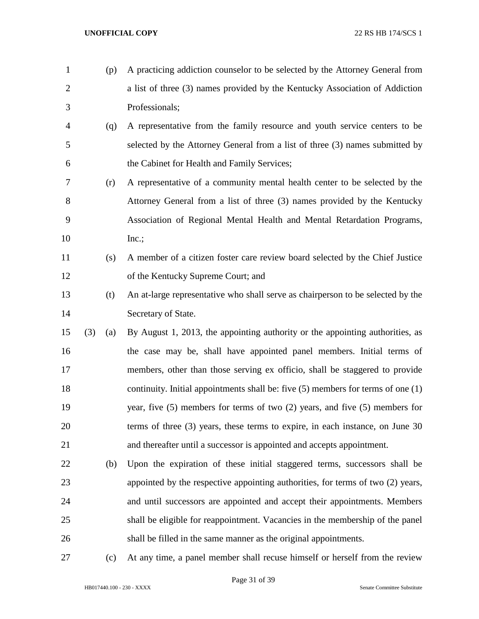(p) A practicing addiction counselor to be selected by the Attorney General from a list of three (3) names provided by the Kentucky Association of Addiction Professionals; (q) A representative from the family resource and youth service centers to be selected by the Attorney General from a list of three (3) names submitted by the Cabinet for Health and Family Services; (r) A representative of a community mental health center to be selected by the Attorney General from a list of three (3) names provided by the Kentucky Association of Regional Mental Health and Mental Retardation Programs, 10 Inc.; (s) A member of a citizen foster care review board selected by the Chief Justice of the Kentucky Supreme Court; and (t) An at-large representative who shall serve as chairperson to be selected by the Secretary of State. (3) (a) By August 1, 2013, the appointing authority or the appointing authorities, as the case may be, shall have appointed panel members. Initial terms of members, other than those serving ex officio, shall be staggered to provide continuity. Initial appointments shall be: five (5) members for terms of one (1) year, five (5) members for terms of two (2) years, and five (5) members for terms of three (3) years, these terms to expire, in each instance, on June 30 and thereafter until a successor is appointed and accepts appointment. (b) Upon the expiration of these initial staggered terms, successors shall be appointed by the respective appointing authorities, for terms of two (2) years, and until successors are appointed and accept their appointments. Members shall be eligible for reappointment. Vacancies in the membership of the panel shall be filled in the same manner as the original appointments.

(c) At any time, a panel member shall recuse himself or herself from the review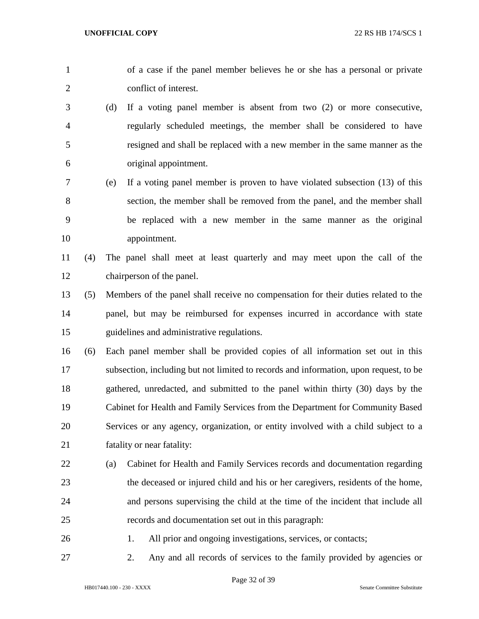| $\mathbf{1}$   |     |     | of a case if the panel member believes he or she has a personal or private            |
|----------------|-----|-----|---------------------------------------------------------------------------------------|
| $\overline{2}$ |     |     | conflict of interest.                                                                 |
| 3              |     | (d) | If a voting panel member is absent from two $(2)$ or more consecutive,                |
| $\overline{4}$ |     |     | regularly scheduled meetings, the member shall be considered to have                  |
| 5              |     |     | resigned and shall be replaced with a new member in the same manner as the            |
| 6              |     |     | original appointment.                                                                 |
| 7              |     | (e) | If a voting panel member is proven to have violated subsection (13) of this           |
| 8              |     |     | section, the member shall be removed from the panel, and the member shall             |
| 9              |     |     | be replaced with a new member in the same manner as the original                      |
| 10             |     |     | appointment.                                                                          |
| 11             | (4) |     | The panel shall meet at least quarterly and may meet upon the call of the             |
| 12             |     |     | chairperson of the panel.                                                             |
| 13             | (5) |     | Members of the panel shall receive no compensation for their duties related to the    |
| 14             |     |     | panel, but may be reimbursed for expenses incurred in accordance with state           |
| 15             |     |     | guidelines and administrative regulations.                                            |
| 16             | (6) |     | Each panel member shall be provided copies of all information set out in this         |
| 17             |     |     | subsection, including but not limited to records and information, upon request, to be |
| 18             |     |     | gathered, unredacted, and submitted to the panel within thirty (30) days by the       |
| 19             |     |     | Cabinet for Health and Family Services from the Department for Community Based        |
| 20             |     |     | Services or any agency, organization, or entity involved with a child subject to a    |
| 21             |     |     | fatality or near fatality:                                                            |
| 22             |     | (a) | Cabinet for Health and Family Services records and documentation regarding            |
| 23             |     |     | the deceased or injured child and his or her caregivers, residents of the home,       |
| 24             |     |     | and persons supervising the child at the time of the incident that include all        |
| 25             |     |     | records and documentation set out in this paragraph:                                  |
| 26             |     |     | All prior and ongoing investigations, services, or contacts;<br>1.                    |
| 27             |     |     | Any and all records of services to the family provided by agencies or<br>2.           |

Page 32 of 39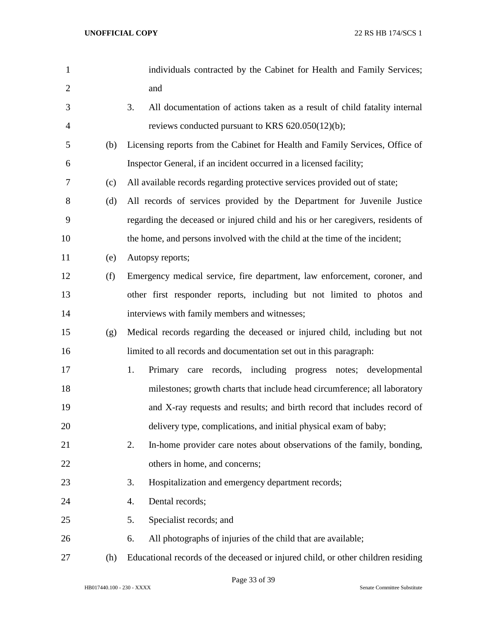| $\mathbf{1}$   |     | individuals contracted by the Cabinet for Health and Family Services;            |
|----------------|-----|----------------------------------------------------------------------------------|
| $\overline{2}$ |     | and                                                                              |
| 3              |     | 3.<br>All documentation of actions taken as a result of child fatality internal  |
| $\overline{4}$ |     | reviews conducted pursuant to KRS 620.050(12)(b);                                |
| 5              | (b) | Licensing reports from the Cabinet for Health and Family Services, Office of     |
| 6              |     | Inspector General, if an incident occurred in a licensed facility;               |
| 7              | (c) | All available records regarding protective services provided out of state;       |
| 8              | (d) | All records of services provided by the Department for Juvenile Justice          |
| 9              |     | regarding the deceased or injured child and his or her caregivers, residents of  |
| 10             |     | the home, and persons involved with the child at the time of the incident;       |
| 11             | (e) | Autopsy reports;                                                                 |
| 12             | (f) | Emergency medical service, fire department, law enforcement, coroner, and        |
| 13             |     | other first responder reports, including but not limited to photos and           |
| 14             |     | interviews with family members and witnesses;                                    |
| 15             | (g) | Medical records regarding the deceased or injured child, including but not       |
| 16             |     | limited to all records and documentation set out in this paragraph:              |
| 17             |     | 1.<br>Primary care records, including progress notes; developmental              |
| 18             |     | milestones; growth charts that include head circumference; all laboratory        |
| 19             |     | and X-ray requests and results; and birth record that includes record of         |
| 20             |     | delivery type, complications, and initial physical exam of baby;                 |
| 21             |     | In-home provider care notes about observations of the family, bonding,<br>2.     |
| 22             |     | others in home, and concerns;                                                    |
| 23             |     | Hospitalization and emergency department records;<br>3.                          |
| 24             |     | Dental records;<br>4.                                                            |
| 25             |     | Specialist records; and<br>5.                                                    |
| 26             |     | All photographs of injuries of the child that are available;<br>6.               |
| 27             | (h) | Educational records of the deceased or injured child, or other children residing |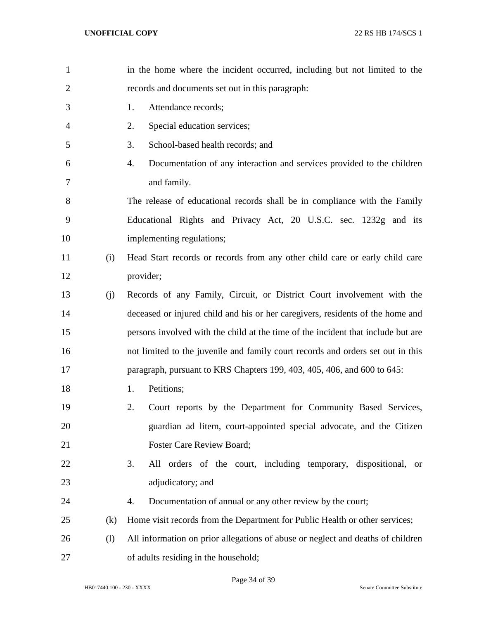| $\mathbf{1}$   |     | in the home where the incident occurred, including but not limited to the        |
|----------------|-----|----------------------------------------------------------------------------------|
| $\overline{2}$ |     | records and documents set out in this paragraph:                                 |
| 3              |     | Attendance records;<br>1.                                                        |
| 4              |     | Special education services;<br>2.                                                |
| 5              |     | School-based health records; and<br>3.                                           |
| 6              |     | Documentation of any interaction and services provided to the children<br>4.     |
| 7              |     | and family.                                                                      |
| 8              |     | The release of educational records shall be in compliance with the Family        |
| 9              |     | Educational Rights and Privacy Act, 20 U.S.C. sec. 1232g and its                 |
| 10             |     | implementing regulations;                                                        |
| 11             | (i) | Head Start records or records from any other child care or early child care      |
| 12             |     | provider;                                                                        |
| 13             | (j) | Records of any Family, Circuit, or District Court involvement with the           |
| 14             |     | deceased or injured child and his or her caregivers, residents of the home and   |
| 15             |     | persons involved with the child at the time of the incident that include but are |
| 16             |     | not limited to the juvenile and family court records and orders set out in this  |
| 17             |     | paragraph, pursuant to KRS Chapters 199, 403, 405, 406, and 600 to 645:          |
| 18             |     | Petitions;<br>1.                                                                 |
| 19             |     | 2.<br>Court reports by the Department for Community Based Services,              |
| 20             |     | guardian ad litem, court-appointed special advocate, and the Citizen             |
| 21             |     | Foster Care Review Board;                                                        |
| 22             |     | 3.<br>All orders of the court, including temporary, dispositional,<br><b>or</b>  |
| 23             |     | adjudicatory; and                                                                |
| 24             |     | Documentation of annual or any other review by the court;<br>4.                  |
| 25             | (k) | Home visit records from the Department for Public Health or other services;      |
| 26             | (1) | All information on prior allegations of abuse or neglect and deaths of children  |
| 27             |     | of adults residing in the household;                                             |

Page 34 of 39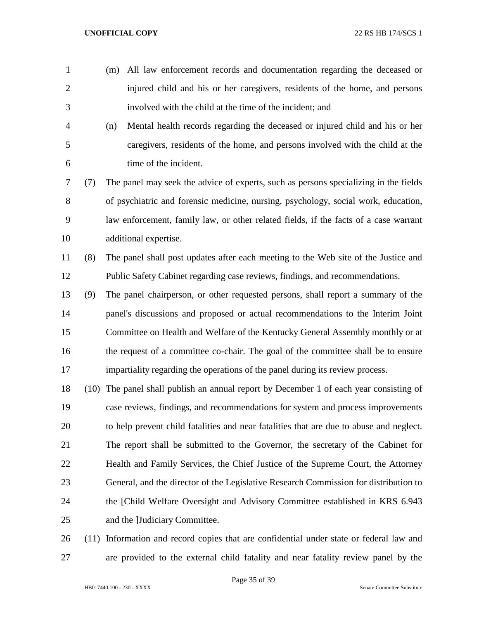(m) All law enforcement records and documentation regarding the deceased or injured child and his or her caregivers, residents of the home, and persons involved with the child at the time of the incident; and

 (n) Mental health records regarding the deceased or injured child and his or her caregivers, residents of the home, and persons involved with the child at the time of the incident.

 (7) The panel may seek the advice of experts, such as persons specializing in the fields of psychiatric and forensic medicine, nursing, psychology, social work, education, law enforcement, family law, or other related fields, if the facts of a case warrant additional expertise.

 (8) The panel shall post updates after each meeting to the Web site of the Justice and Public Safety Cabinet regarding case reviews, findings, and recommendations.

- (9) The panel chairperson, or other requested persons, shall report a summary of the panel's discussions and proposed or actual recommendations to the Interim Joint Committee on Health and Welfare of the Kentucky General Assembly monthly or at the request of a committee co-chair. The goal of the committee shall be to ensure impartiality regarding the operations of the panel during its review process.
- (10) The panel shall publish an annual report by December 1 of each year consisting of case reviews, findings, and recommendations for system and process improvements to help prevent child fatalities and near fatalities that are due to abuse and neglect. The report shall be submitted to the Governor, the secretary of the Cabinet for Health and Family Services, the Chief Justice of the Supreme Court, the Attorney General, and the director of the Legislative Research Commission for distribution to 24 the <del>[Child Welfare Oversight and Advisory Committee established in KRS 6.943</del> 25 and the Hudiciary Committee.

 (11) Information and record copies that are confidential under state or federal law and are provided to the external child fatality and near fatality review panel by the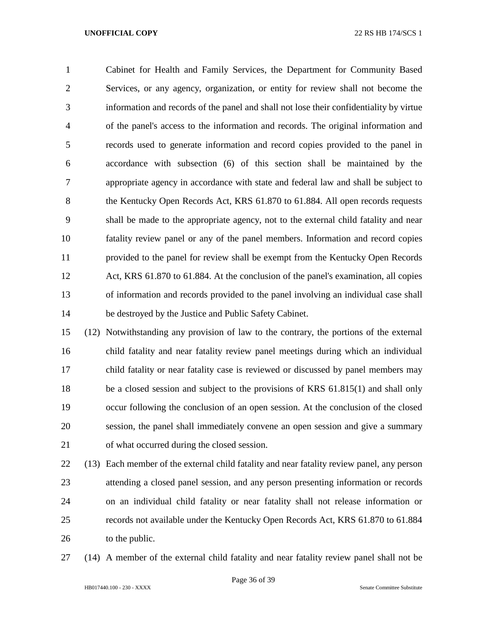Cabinet for Health and Family Services, the Department for Community Based Services, or any agency, organization, or entity for review shall not become the information and records of the panel and shall not lose their confidentiality by virtue of the panel's access to the information and records. The original information and records used to generate information and record copies provided to the panel in accordance with subsection (6) of this section shall be maintained by the appropriate agency in accordance with state and federal law and shall be subject to 8 the Kentucky Open Records Act, KRS 61.870 to 61.884. All open records requests shall be made to the appropriate agency, not to the external child fatality and near fatality review panel or any of the panel members. Information and record copies provided to the panel for review shall be exempt from the Kentucky Open Records Act, KRS 61.870 to 61.884. At the conclusion of the panel's examination, all copies of information and records provided to the panel involving an individual case shall be destroyed by the Justice and Public Safety Cabinet.

 (12) Notwithstanding any provision of law to the contrary, the portions of the external child fatality and near fatality review panel meetings during which an individual child fatality or near fatality case is reviewed or discussed by panel members may be a closed session and subject to the provisions of KRS 61.815(1) and shall only occur following the conclusion of an open session. At the conclusion of the closed session, the panel shall immediately convene an open session and give a summary of what occurred during the closed session.

 (13) Each member of the external child fatality and near fatality review panel, any person attending a closed panel session, and any person presenting information or records on an individual child fatality or near fatality shall not release information or records not available under the Kentucky Open Records Act, KRS 61.870 to 61.884 26 to the public.

(14) A member of the external child fatality and near fatality review panel shall not be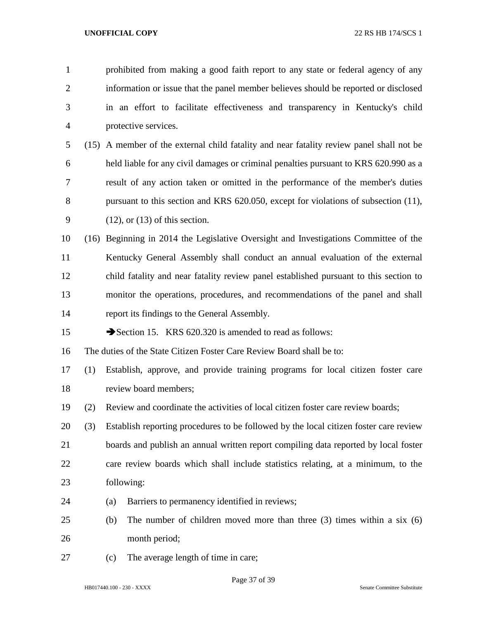prohibited from making a good faith report to any state or federal agency of any information or issue that the panel member believes should be reported or disclosed in an effort to facilitate effectiveness and transparency in Kentucky's child protective services. (15) A member of the external child fatality and near fatality review panel shall not be held liable for any civil damages or criminal penalties pursuant to KRS 620.990 as a result of any action taken or omitted in the performance of the member's duties 8 pursuant to this section and KRS 620.050, except for violations of subsection (11), (12), or (13) of this section. (16) Beginning in 2014 the Legislative Oversight and Investigations Committee of the Kentucky General Assembly shall conduct an annual evaluation of the external child fatality and near fatality review panel established pursuant to this section to monitor the operations, procedures, and recommendations of the panel and shall report its findings to the General Assembly. 15 Section 15. KRS 620.320 is amended to read as follows: The duties of the State Citizen Foster Care Review Board shall be to: (1) Establish, approve, and provide training programs for local citizen foster care review board members; (2) Review and coordinate the activities of local citizen foster care review boards; (3) Establish reporting procedures to be followed by the local citizen foster care review boards and publish an annual written report compiling data reported by local foster care review boards which shall include statistics relating, at a minimum, to the following: (a) Barriers to permanency identified in reviews; (b) The number of children moved more than three (3) times within a six (6) month period; (c) The average length of time in care;

Page 37 of 39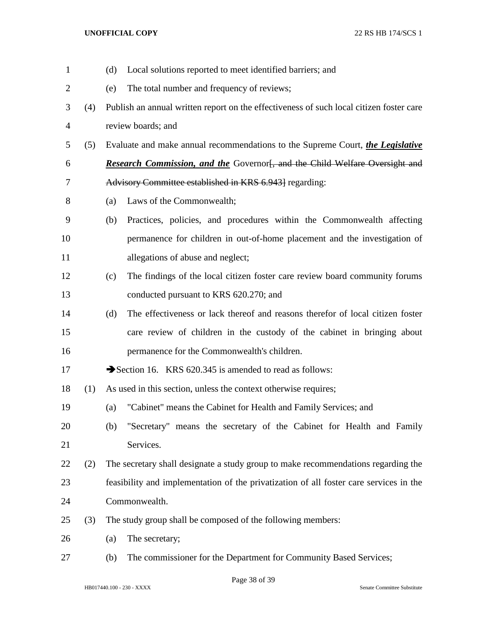| $\mathbf{1}$   |     | Local solutions reported to meet identified barriers; and<br>(d)                        |  |  |
|----------------|-----|-----------------------------------------------------------------------------------------|--|--|
| $\overline{c}$ |     | The total number and frequency of reviews;<br>(e)                                       |  |  |
| 3              | (4) | Publish an annual written report on the effectiveness of such local citizen foster care |  |  |
| $\overline{4}$ |     | review boards; and                                                                      |  |  |
| 5              | (5) | Evaluate and make annual recommendations to the Supreme Court, the Legislative          |  |  |
| 6              |     | <b>Research Commission, and the Governorf</b> , and the Child Welfare Oversight and     |  |  |
| 7              |     | Advisory Committee established in KRS 6.943] regarding:                                 |  |  |
| 8              |     | Laws of the Commonwealth;<br>(a)                                                        |  |  |
| 9              |     | Practices, policies, and procedures within the Commonwealth affecting<br>(b)            |  |  |
| 10             |     | permanence for children in out-of-home placement and the investigation of               |  |  |
| 11             |     | allegations of abuse and neglect;                                                       |  |  |
| 12             |     | The findings of the local citizen foster care review board community forums<br>(c)      |  |  |
| 13             |     | conducted pursuant to KRS 620.270; and                                                  |  |  |
| 14             |     | The effectiveness or lack thereof and reasons therefor of local citizen foster<br>(d)   |  |  |
| 15             |     | care review of children in the custody of the cabinet in bringing about                 |  |  |
| 16             |     | permanence for the Commonwealth's children.                                             |  |  |
| 17             |     | Section 16. KRS 620.345 is amended to read as follows:                                  |  |  |
| 18             | (1) | As used in this section, unless the context otherwise requires;                         |  |  |
| 19             |     | "Cabinet" means the Cabinet for Health and Family Services; and<br>(a)                  |  |  |
| 20             |     | "Secretary" means the secretary of the Cabinet for Health and Family<br>(b)             |  |  |
| 21             |     | Services.                                                                               |  |  |
| 22             | (2) | The secretary shall designate a study group to make recommendations regarding the       |  |  |
| 23             |     | feasibility and implementation of the privatization of all foster care services in the  |  |  |
| 24             |     | Commonwealth.                                                                           |  |  |
| 25             | (3) | The study group shall be composed of the following members:                             |  |  |
| 26             |     | The secretary;<br>(a)                                                                   |  |  |
| 27             |     | The commissioner for the Department for Community Based Services;<br>(b)                |  |  |

Page 38 of 39